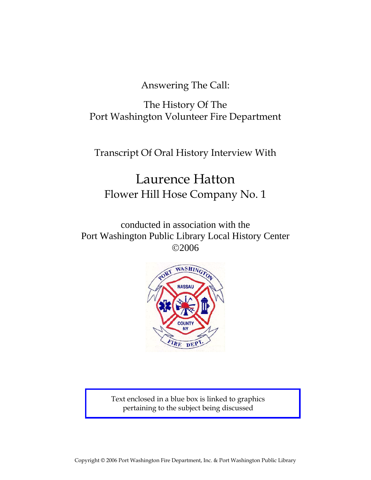Answering The Call:

The History Of The Port Washington Volunteer Fire Department

Transcript Of Oral History Interview With

# Laurence Hatton Flower Hill Hose Company No. 1

conducted in association with the Port Washington Public Library Local History Center ©2006



Text enclosed in a blue box is linked to graphics pertaining to the subject being discussed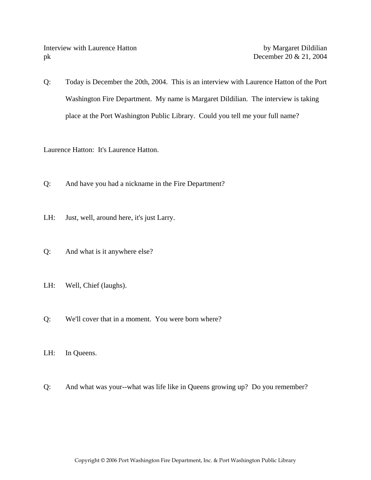Interview with Laurence Hatton by Margaret Dildilian pk December 20 & 21, 2004

Q: Today is December the 20th, 2004. This is an interview with Laurence Hatton of the Port Washington Fire Department. My name is Margaret Dildilian. The interview is taking place at the Port Washington Public Library. Could you tell me your full name?

Laurence Hatton: It's Laurence Hatton.

- Q: And have you had a nickname in the Fire Department?
- LH: Just, well, around here, it's just Larry.
- Q: And what is it anywhere else?
- LH: Well, Chief (laughs).
- Q: We'll cover that in a moment. You were born where?
- LH: In Queens.
- Q: And what was your--what was life like in Queens growing up? Do you remember?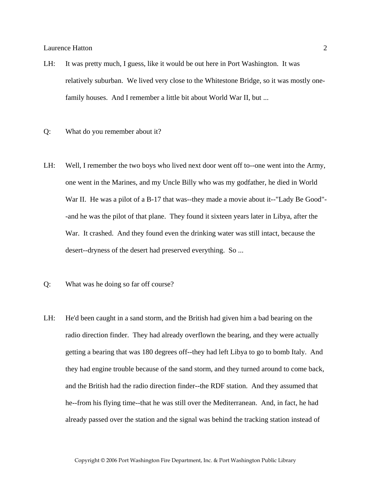- LH: It was pretty much, I guess, like it would be out here in Port Washington. It was relatively suburban. We lived very close to the Whitestone Bridge, so it was mostly onefamily houses. And I remember a little bit about World War II, but ...
- Q: What do you remember about it?
- LH: Well, I remember the two boys who lived next door went off to--one went into the Army, one went in the Marines, and my Uncle Billy who was my godfather, he died in World War II. He was a pilot of a B-17 that was--they made a movie about it--"Lady Be Good"- -and he was the pilot of that plane. They found it sixteen years later in Libya, after the War. It crashed. And they found even the drinking water was still intact, because the desert--dryness of the desert had preserved everything. So ...
- Q: What was he doing so far off course?
- LH: He'd been caught in a sand storm, and the British had given him a bad bearing on the radio direction finder. They had already overflown the bearing, and they were actually getting a bearing that was 180 degrees off--they had left Libya to go to bomb Italy. And they had engine trouble because of the sand storm, and they turned around to come back, and the British had the radio direction finder--the RDF station. And they assumed that he--from his flying time--that he was still over the Mediterranean. And, in fact, he had already passed over the station and the signal was behind the tracking station instead of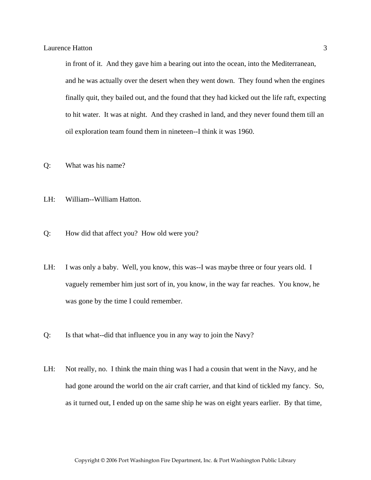in front of it. And they gave him a bearing out into the ocean, into the Mediterranean, and he was actually over the desert when they went down. They found when the engines finally quit, they bailed out, and the found that they had kicked out the life raft, expecting to hit water. It was at night. And they crashed in land, and they never found them till an oil exploration team found them in nineteen--I think it was 1960.

- Q: What was his name?
- LH: William--William Hatton.
- Q: How did that affect you? How old were you?
- LH: I was only a baby. Well, you know, this was--I was maybe three or four years old. I vaguely remember him just sort of in, you know, in the way far reaches. You know, he was gone by the time I could remember.
- Q: Is that what--did that influence you in any way to join the Navy?
- LH: Not really, no. I think the main thing was I had a cousin that went in the Navy, and he had gone around the world on the air craft carrier, and that kind of tickled my fancy. So, as it turned out, I ended up on the same ship he was on eight years earlier. By that time,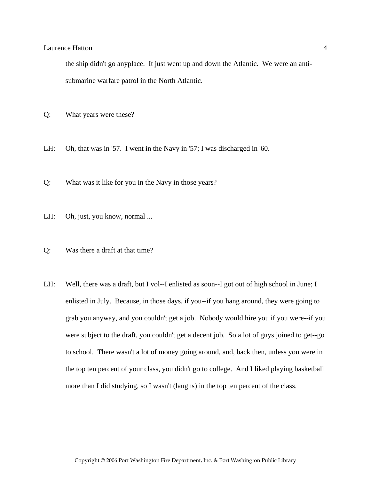# Laurence Hatton 4 and 4 and 4 and 4 and 4 and 4 and 4 and 4 and 4 and 4 and 4 and 4 and 4 and 4 and 4 and 4 and 4 and 4 and 4 and 4 and 4 and 4 and 4 and 4 and 4 and 4 and 4 and 4 and 4 and 4 and 4 and 4 and 4 and 4 and 4

the ship didn't go anyplace. It just went up and down the Atlantic. We were an antisubmarine warfare patrol in the North Atlantic.

- Q: What years were these?
- LH: Oh, that was in '57. I went in the Navy in '57; I was discharged in '60.
- Q: What was it like for you in the Navy in those years?
- LH: Oh, just, you know, normal ...
- Q: Was there a draft at that time?
- LH: Well, there was a draft, but I vol--I enlisted as soon--I got out of high school in June; I enlisted in July. Because, in those days, if you--if you hang around, they were going to grab you anyway, and you couldn't get a job. Nobody would hire you if you were--if you were subject to the draft, you couldn't get a decent job. So a lot of guys joined to get--go to school. There wasn't a lot of money going around, and, back then, unless you were in the top ten percent of your class, you didn't go to college. And I liked playing basketball more than I did studying, so I wasn't (laughs) in the top ten percent of the class.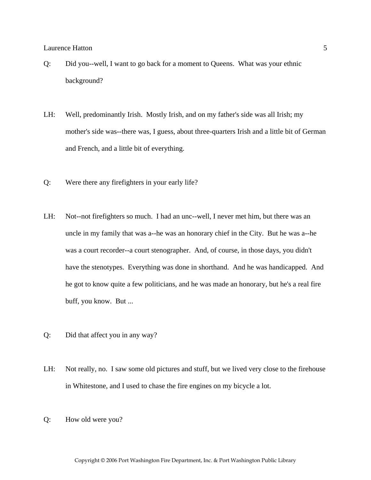- Q: Did you--well, I want to go back for a moment to Queens. What was your ethnic background?
- LH: Well, predominantly Irish. Mostly Irish, and on my father's side was all Irish; my mother's side was--there was, I guess, about three-quarters Irish and a little bit of German and French, and a little bit of everything.
- Q: Were there any firefighters in your early life?
- LH: Not--not firefighters so much. I had an unc--well, I never met him, but there was an uncle in my family that was a--he was an honorary chief in the City. But he was a--he was a court recorder--a court stenographer. And, of course, in those days, you didn't have the stenotypes. Everything was done in shorthand. And he was handicapped. And he got to know quite a few politicians, and he was made an honorary, but he's a real fire buff, you know. But ...
- Q: Did that affect you in any way?
- LH: Not really, no. I saw some old pictures and stuff, but we lived very close to the firehouse in Whitestone, and I used to chase the fire engines on my bicycle a lot.
- Q: How old were you?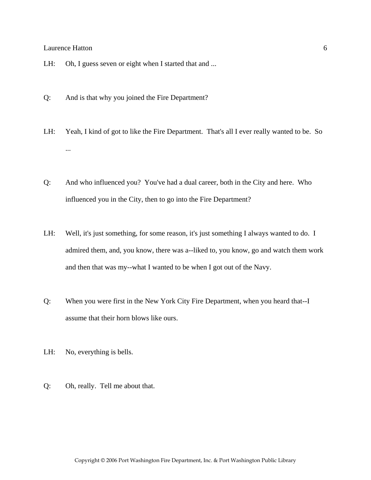- LH: Oh, I guess seven or eight when I started that and ...
- Q: And is that why you joined the Fire Department?
- LH: Yeah, I kind of got to like the Fire Department. That's all I ever really wanted to be. So ...
- Q: And who influenced you? You've had a dual career, both in the City and here. Who influenced you in the City, then to go into the Fire Department?
- LH: Well, it's just something, for some reason, it's just something I always wanted to do. I admired them, and, you know, there was a--liked to, you know, go and watch them work and then that was my--what I wanted to be when I got out of the Navy.
- Q: When you were first in the New York City Fire Department, when you heard that--I assume that their horn blows like ours.
- LH: No, everything is bells.
- Q: Oh, really. Tell me about that.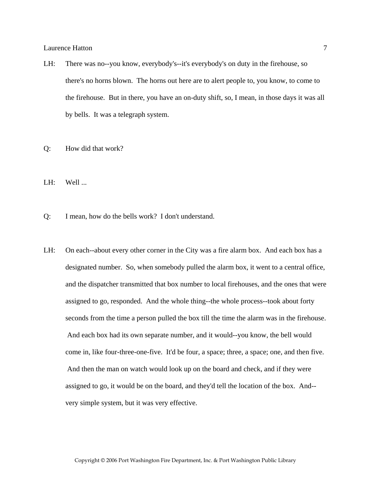- LH: There was no--you know, everybody's--it's everybody's on duty in the firehouse, so there's no horns blown. The horns out here are to alert people to, you know, to come to the firehouse. But in there, you have an on-duty shift, so, I mean, in those days it was all by bells. It was a telegraph system.
- Q: How did that work?
- $LH:$  Well ...
- Q: I mean, how do the bells work? I don't understand.
- LH: On each--about every other corner in the City was a fire alarm box. And each box has a designated number. So, when somebody pulled the alarm box, it went to a central office, and the dispatcher transmitted that box number to local firehouses, and the ones that were assigned to go, responded. And the whole thing--the whole process--took about forty seconds from the time a person pulled the box till the time the alarm was in the firehouse. And each box had its own separate number, and it would--you know, the bell would come in, like four-three-one-five. It'd be four, a space; three, a space; one, and then five. And then the man on watch would look up on the board and check, and if they were assigned to go, it would be on the board, and they'd tell the location of the box. And- very simple system, but it was very effective.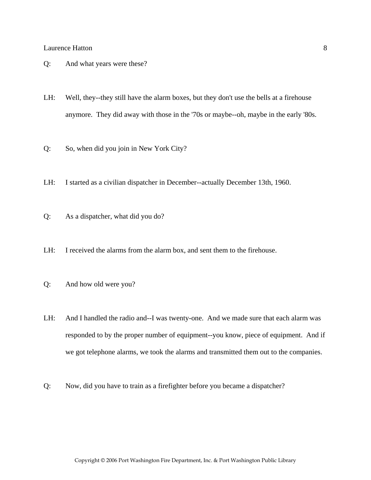- Q: And what years were these?
- LH: Well, they--they still have the alarm boxes, but they don't use the bells at a firehouse anymore. They did away with those in the '70s or maybe--oh, maybe in the early '80s.
- Q: So, when did you join in New York City?
- LH: I started as a civilian dispatcher in December--actually December 13th, 1960.
- Q: As a dispatcher, what did you do?
- LH: I received the alarms from the alarm box, and sent them to the firehouse.
- Q: And how old were you?
- LH: And I handled the radio and--I was twenty-one. And we made sure that each alarm was responded to by the proper number of equipment--you know, piece of equipment. And if we got telephone alarms, we took the alarms and transmitted them out to the companies.
- Q: Now, did you have to train as a firefighter before you became a dispatcher?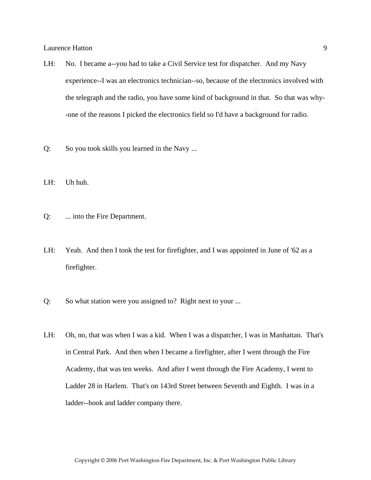- LH: No. I became a--you had to take a Civil Service test for dispatcher. And my Navy experience--I was an electronics technician--so, because of the electronics involved with the telegraph and the radio, you have some kind of background in that. So that was why- -one of the reasons I picked the electronics field so I'd have a background for radio.
- Q: So you took skills you learned in the Navy ...
- LH: Uh huh.
- Q: ... into the Fire Department.
- LH: Yeah. And then I took the test for firefighter, and I was appointed in June of '62 as a firefighter.
- Q: So what station were you assigned to? Right next to your ...
- LH: Oh, no, that was when I was a kid. When I was a dispatcher, I was in Manhattan. That's in Central Park. And then when I became a firefighter, after I went through the Fire Academy, that was ten weeks. And after I went through the Fire Academy, I went to Ladder 28 in Harlem. That's on 143rd Street between Seventh and Eighth. I was in a ladder--hook and ladder company there.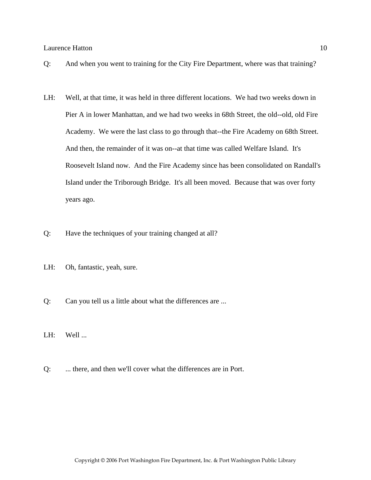- Q: And when you went to training for the City Fire Department, where was that training?
- LH: Well, at that time, it was held in three different locations. We had two weeks down in Pier A in lower Manhattan, and we had two weeks in 68th Street, the old--old, old Fire Academy. We were the last class to go through that--the Fire Academy on 68th Street. And then, the remainder of it was on--at that time was called Welfare Island. It's Roosevelt Island now. And the Fire Academy since has been consolidated on Randall's Island under the Triborough Bridge. It's all been moved. Because that was over forty years ago.
- Q: Have the techniques of your training changed at all?
- LH: Oh, fantastic, yeah, sure.
- Q: Can you tell us a little about what the differences are ...
- LH: Well ...
- Q: ... there, and then we'll cover what the differences are in Port.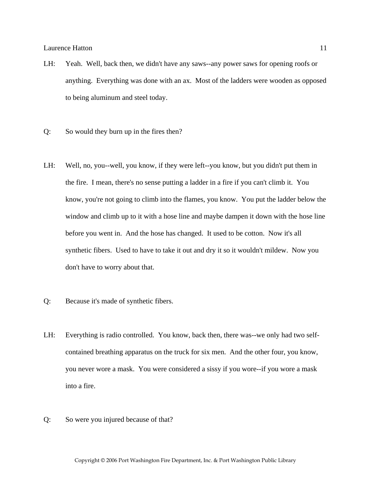- LH: Yeah. Well, back then, we didn't have any saws--any power saws for opening roofs or anything. Everything was done with an ax. Most of the ladders were wooden as opposed to being aluminum and steel today.
- Q: So would they burn up in the fires then?
- LH: Well, no, you--well, you know, if they were left--you know, but you didn't put them in the fire. I mean, there's no sense putting a ladder in a fire if you can't climb it. You know, you're not going to climb into the flames, you know. You put the ladder below the window and climb up to it with a hose line and maybe dampen it down with the hose line before you went in. And the hose has changed. It used to be cotton. Now it's all synthetic fibers. Used to have to take it out and dry it so it wouldn't mildew. Now you don't have to worry about that.
- Q: Because it's made of synthetic fibers.
- LH: Everything is radio controlled. You know, back then, there was--we only had two selfcontained breathing apparatus on the truck for six men. And the other four, you know, you never wore a mask. You were considered a sissy if you wore--if you wore a mask into a fire.
- Q: So were you injured because of that?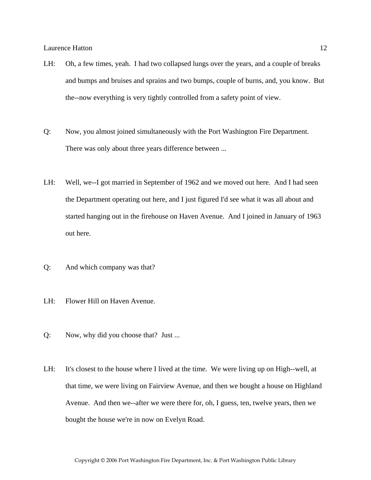- LH: Oh, a few times, yeah. I had two collapsed lungs over the years, and a couple of breaks and bumps and bruises and sprains and two bumps, couple of burns, and, you know. But the--now everything is very tightly controlled from a safety point of view.
- Q: Now, you almost joined simultaneously with the Port Washington Fire Department. There was only about three years difference between ...
- LH: Well, we--I got married in September of 1962 and we moved out here. And I had seen the Department operating out here, and I just figured I'd see what it was all about and started hanging out in the firehouse on Haven Avenue. And I joined in January of 1963 out here.
- Q: And which company was that?
- LH: Flower Hill on Haven Avenue.
- Q: Now, why did you choose that? Just ...
- LH: It's closest to the house where I lived at the time. We were living up on High--well, at that time, we were living on Fairview Avenue, and then we bought a house on Highland Avenue. And then we--after we were there for, oh, I guess, ten, twelve years, then we bought the house we're in now on Evelyn Road.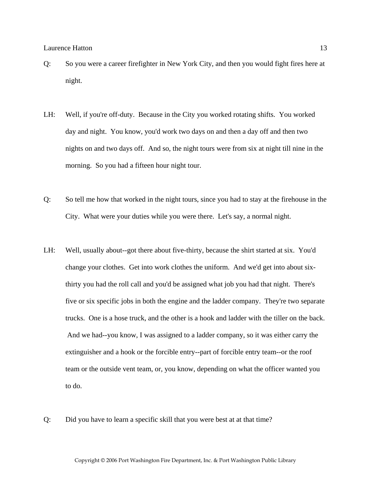- Q: So you were a career firefighter in New York City, and then you would fight fires here at night.
- LH: Well, if you're off-duty. Because in the City you worked rotating shifts. You worked day and night. You know, you'd work two days on and then a day off and then two nights on and two days off. And so, the night tours were from six at night till nine in the morning. So you had a fifteen hour night tour.
- Q: So tell me how that worked in the night tours, since you had to stay at the firehouse in the City. What were your duties while you were there. Let's say, a normal night.
- LH: Well, usually about--got there about five-thirty, because the shirt started at six. You'd change your clothes. Get into work clothes the uniform. And we'd get into about sixthirty you had the roll call and you'd be assigned what job you had that night. There's five or six specific jobs in both the engine and the ladder company. They're two separate trucks. One is a hose truck, and the other is a hook and ladder with the tiller on the back. And we had--you know, I was assigned to a ladder company, so it was either carry the extinguisher and a hook or the forcible entry--part of forcible entry team--or the roof team or the outside vent team, or, you know, depending on what the officer wanted you to do.
- Q: Did you have to learn a specific skill that you were best at at that time?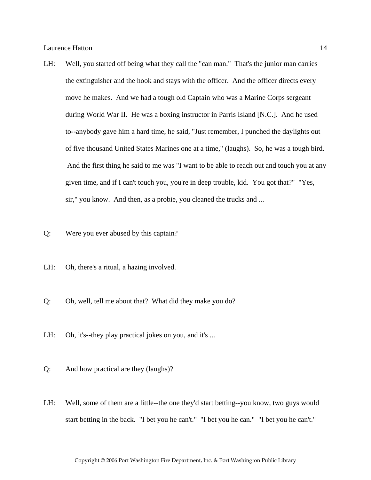- LH: Well, you started off being what they call the "can man." That's the junior man carries the extinguisher and the hook and stays with the officer. And the officer directs every move he makes. And we had a tough old Captain who was a Marine Corps sergeant during World War II. He was a boxing instructor in Parris Island [N.C.]. And he used to--anybody gave him a hard time, he said, "Just remember, I punched the daylights out of five thousand United States Marines one at a time," (laughs). So, he was a tough bird. And the first thing he said to me was "I want to be able to reach out and touch you at any given time, and if I can't touch you, you're in deep trouble, kid. You got that?" "Yes, sir," you know. And then, as a probie, you cleaned the trucks and ...
- Q: Were you ever abused by this captain?
- LH: Oh, there's a ritual, a hazing involved.
- Q: Oh, well, tell me about that? What did they make you do?
- LH: Oh, it's--they play practical jokes on you, and it's ...
- Q: And how practical are they (laughs)?
- LH: Well, some of them are a little--the one they'd start betting--you know, two guys would start betting in the back. "I bet you he can't." "I bet you he can." "I bet you he can't."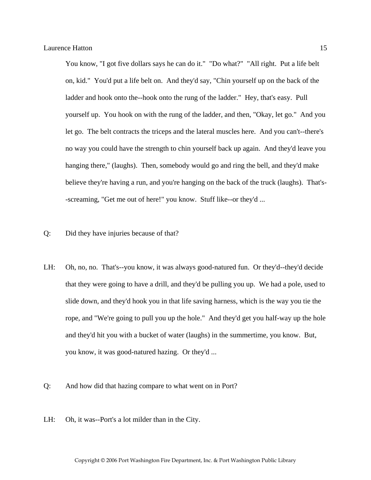You know, "I got five dollars says he can do it." "Do what?" "All right. Put a life belt on, kid." You'd put a life belt on. And they'd say, "Chin yourself up on the back of the ladder and hook onto the--hook onto the rung of the ladder." Hey, that's easy. Pull yourself up. You hook on with the rung of the ladder, and then, "Okay, let go." And you let go. The belt contracts the triceps and the lateral muscles here. And you can't--there's no way you could have the strength to chin yourself back up again. And they'd leave you hanging there," (laughs). Then, somebody would go and ring the bell, and they'd make believe they're having a run, and you're hanging on the back of the truck (laughs). That's- -screaming, "Get me out of here!" you know. Stuff like--or they'd ...

- Q: Did they have injuries because of that?
- LH: Oh, no, no. That's--you know, it was always good-natured fun. Or they'd--they'd decide that they were going to have a drill, and they'd be pulling you up. We had a pole, used to slide down, and they'd hook you in that life saving harness, which is the way you tie the rope, and "We're going to pull you up the hole." And they'd get you half-way up the hole and they'd hit you with a bucket of water (laughs) in the summertime, you know. But, you know, it was good-natured hazing. Or they'd ...
- Q: And how did that hazing compare to what went on in Port?
- LH: Oh, it was--Port's a lot milder than in the City.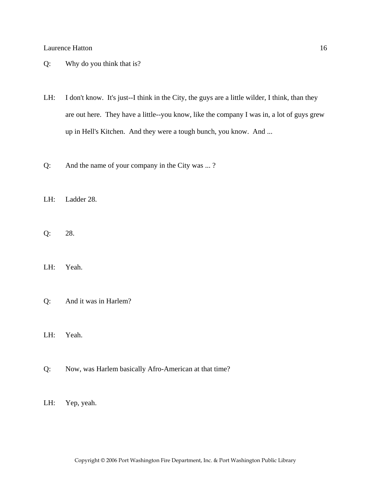- Q: Why do you think that is?
- LH: I don't know. It's just--I think in the City, the guys are a little wilder, I think, than they are out here. They have a little--you know, like the company I was in, a lot of guys grew up in Hell's Kitchen. And they were a tough bunch, you know. And ...
- Q: And the name of your company in the City was ... ?
- LH: Ladder 28.
- Q: 28.
- LH: Yeah.
- Q: And it was in Harlem?
- LH: Yeah.
- Q: Now, was Harlem basically Afro-American at that time?
- LH: Yep, yeah.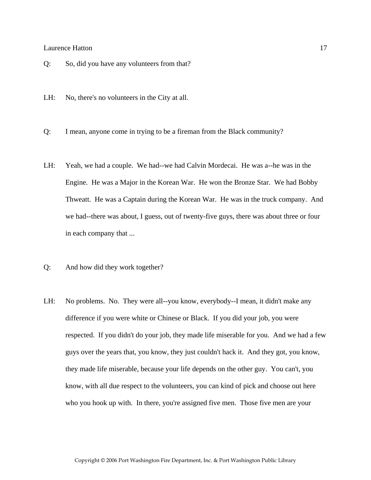- Q: So, did you have any volunteers from that?
- LH: No, there's no volunteers in the City at all.
- Q: I mean, anyone come in trying to be a fireman from the Black community?
- LH: Yeah, we had a couple. We had--we had Calvin Mordecai. He was a--he was in the Engine. He was a Major in the Korean War. He won the Bronze Star. We had Bobby Thweatt. He was a Captain during the Korean War. He was in the truck company. And we had--there was about, I guess, out of twenty-five guys, there was about three or four in each company that ...
- Q: And how did they work together?
- LH: No problems. No. They were all--you know, everybody--I mean, it didn't make any difference if you were white or Chinese or Black. If you did your job, you were respected. If you didn't do your job, they made life miserable for you. And we had a few guys over the years that, you know, they just couldn't hack it. And they got, you know, they made life miserable, because your life depends on the other guy. You can't, you know, with all due respect to the volunteers, you can kind of pick and choose out here who you hook up with. In there, you're assigned five men. Those five men are your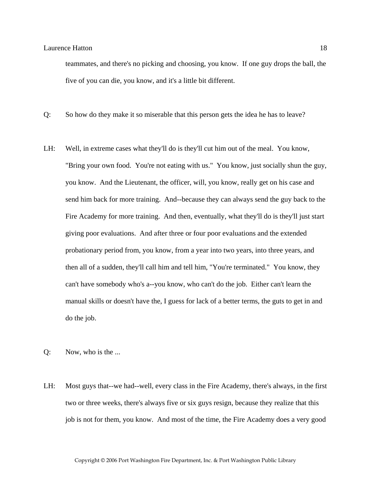teammates, and there's no picking and choosing, you know. If one guy drops the ball, the five of you can die, you know, and it's a little bit different.

- Q: So how do they make it so miserable that this person gets the idea he has to leave?
- LH: Well, in extreme cases what they'll do is they'll cut him out of the meal. You know, "Bring your own food. You're not eating with us." You know, just socially shun the guy, you know. And the Lieutenant, the officer, will, you know, really get on his case and send him back for more training. And--because they can always send the guy back to the Fire Academy for more training. And then, eventually, what they'll do is they'll just start giving poor evaluations. And after three or four poor evaluations and the extended probationary period from, you know, from a year into two years, into three years, and then all of a sudden, they'll call him and tell him, "You're terminated." You know, they can't have somebody who's a--you know, who can't do the job. Either can't learn the manual skills or doesn't have the, I guess for lack of a better terms, the guts to get in and do the job.
- Q: Now, who is the ...
- LH: Most guys that--we had--well, every class in the Fire Academy, there's always, in the first two or three weeks, there's always five or six guys resign, because they realize that this job is not for them, you know. And most of the time, the Fire Academy does a very good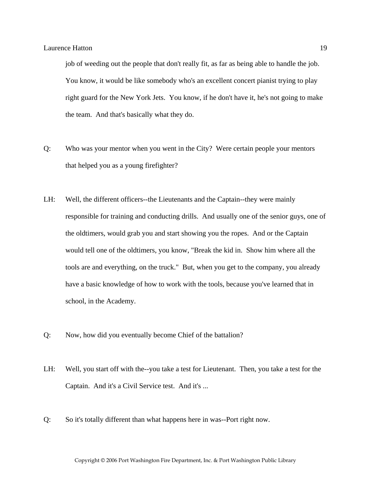job of weeding out the people that don't really fit, as far as being able to handle the job. You know, it would be like somebody who's an excellent concert pianist trying to play right guard for the New York Jets. You know, if he don't have it, he's not going to make the team. And that's basically what they do.

- Q: Who was your mentor when you went in the City? Were certain people your mentors that helped you as a young firefighter?
- LH: Well, the different officers--the Lieutenants and the Captain--they were mainly responsible for training and conducting drills. And usually one of the senior guys, one of the oldtimers, would grab you and start showing you the ropes. And or the Captain would tell one of the oldtimers, you know, "Break the kid in. Show him where all the tools are and everything, on the truck." But, when you get to the company, you already have a basic knowledge of how to work with the tools, because you've learned that in school, in the Academy.
- Q: Now, how did you eventually become Chief of the battalion?
- LH: Well, you start off with the--you take a test for Lieutenant. Then, you take a test for the Captain. And it's a Civil Service test. And it's ...
- Q: So it's totally different than what happens here in was--Port right now.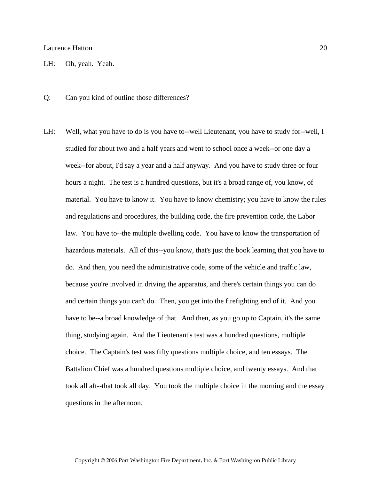LH: Oh, yeah. Yeah.

- Q: Can you kind of outline those differences?
- LH: Well, what you have to do is you have to--well Lieutenant, you have to study for--well, I studied for about two and a half years and went to school once a week--or one day a week--for about, I'd say a year and a half anyway. And you have to study three or four hours a night. The test is a hundred questions, but it's a broad range of, you know, of material. You have to know it. You have to know chemistry; you have to know the rules and regulations and procedures, the building code, the fire prevention code, the Labor law. You have to--the multiple dwelling code. You have to know the transportation of hazardous materials. All of this--you know, that's just the book learning that you have to do. And then, you need the administrative code, some of the vehicle and traffic law, because you're involved in driving the apparatus, and there's certain things you can do and certain things you can't do. Then, you get into the firefighting end of it. And you have to be--a broad knowledge of that. And then, as you go up to Captain, it's the same thing, studying again. And the Lieutenant's test was a hundred questions, multiple choice. The Captain's test was fifty questions multiple choice, and ten essays. The Battalion Chief was a hundred questions multiple choice, and twenty essays. And that took all aft--that took all day. You took the multiple choice in the morning and the essay questions in the afternoon.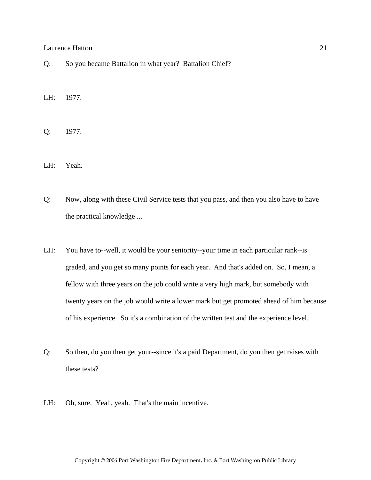Q: So you became Battalion in what year? Battalion Chief?

LH: 1977.

Q: 1977.

LH: Yeah.

- Q: Now, along with these Civil Service tests that you pass, and then you also have to have the practical knowledge ...
- LH: You have to--well, it would be your seniority--your time in each particular rank--is graded, and you get so many points for each year. And that's added on. So, I mean, a fellow with three years on the job could write a very high mark, but somebody with twenty years on the job would write a lower mark but get promoted ahead of him because of his experience. So it's a combination of the written test and the experience level.
- Q: So then, do you then get your--since it's a paid Department, do you then get raises with these tests?
- LH: Oh, sure. Yeah, yeah. That's the main incentive.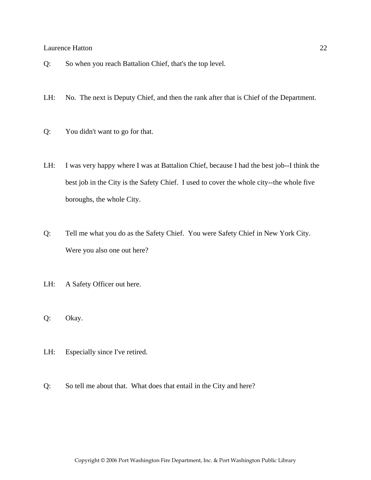- Q: So when you reach Battalion Chief, that's the top level.
- LH: No. The next is Deputy Chief, and then the rank after that is Chief of the Department.
- Q: You didn't want to go for that.
- LH: I was very happy where I was at Battalion Chief, because I had the best job--I think the best job in the City is the Safety Chief. I used to cover the whole city--the whole five boroughs, the whole City.
- Q: Tell me what you do as the Safety Chief. You were Safety Chief in New York City. Were you also one out here?
- LH: A Safety Officer out here.
- Q: Okay.
- LH: Especially since I've retired.
- Q: So tell me about that. What does that entail in the City and here?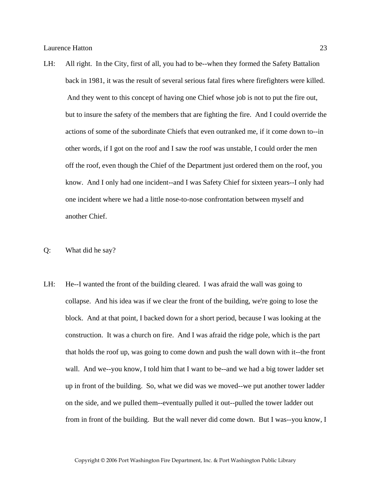- LH: All right. In the City, first of all, you had to be--when they formed the Safety Battalion back in 1981, it was the result of several serious fatal fires where firefighters were killed. And they went to this concept of having one Chief whose job is not to put the fire out, but to insure the safety of the members that are fighting the fire. And I could override the actions of some of the subordinate Chiefs that even outranked me, if it come down to--in other words, if I got on the roof and I saw the roof was unstable, I could order the men off the roof, even though the Chief of the Department just ordered them on the roof, you know. And I only had one incident--and I was Safety Chief for sixteen years--I only had one incident where we had a little nose-to-nose confrontation between myself and another Chief.
- Q: What did he say?
- LH: He--I wanted the front of the building cleared. I was afraid the wall was going to collapse. And his idea was if we clear the front of the building, we're going to lose the block. And at that point, I backed down for a short period, because I was looking at the construction. It was a church on fire. And I was afraid the ridge pole, which is the part that holds the roof up, was going to come down and push the wall down with it--the front wall. And we--you know, I told him that I want to be--and we had a big tower ladder set up in front of the building. So, what we did was we moved--we put another tower ladder on the side, and we pulled them--eventually pulled it out--pulled the tower ladder out from in front of the building. But the wall never did come down. But I was--you know, I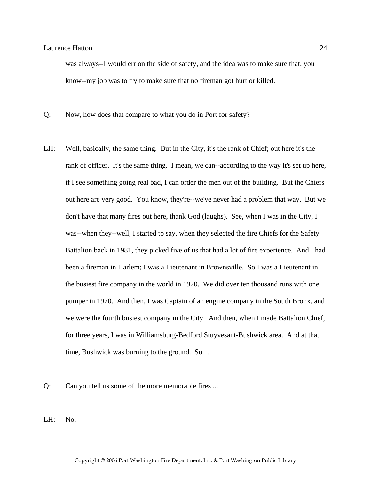was always--I would err on the side of safety, and the idea was to make sure that, you know--my job was to try to make sure that no fireman got hurt or killed.

Q: Now, how does that compare to what you do in Port for safety?

- LH: Well, basically, the same thing. But in the City, it's the rank of Chief; out here it's the rank of officer. It's the same thing. I mean, we can--according to the way it's set up here, if I see something going real bad, I can order the men out of the building. But the Chiefs out here are very good. You know, they're--we've never had a problem that way. But we don't have that many fires out here, thank God (laughs). See, when I was in the City, I was--when they--well, I started to say, when they selected the fire Chiefs for the Safety Battalion back in 1981, they picked five of us that had a lot of fire experience. And I had been a fireman in Harlem; I was a Lieutenant in Brownsville. So I was a Lieutenant in the busiest fire company in the world in 1970. We did over ten thousand runs with one pumper in 1970. And then, I was Captain of an engine company in the South Bronx, and we were the fourth busiest company in the City. And then, when I made Battalion Chief, for three years, I was in Williamsburg-Bedford Stuyvesant-Bushwick area. And at that time, Bushwick was burning to the ground. So ...
- Q: Can you tell us some of the more memorable fires ...
- LH: No.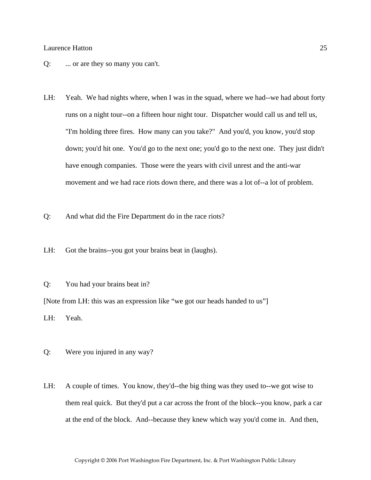- Q: ... or are they so many you can't.
- LH: Yeah. We had nights where, when I was in the squad, where we had--we had about forty runs on a night tour--on a fifteen hour night tour. Dispatcher would call us and tell us, "I'm holding three fires. How many can you take?" And you'd, you know, you'd stop down; you'd hit one. You'd go to the next one; you'd go to the next one. They just didn't have enough companies. Those were the years with civil unrest and the anti-war movement and we had race riots down there, and there was a lot of--a lot of problem.
- Q: And what did the Fire Department do in the race riots?
- LH: Got the brains--you got your brains beat in (laughs).
- Q: You had your brains beat in?

[Note from LH: this was an expression like "we got our heads handed to us"]

LH: Yeah.

- Q: Were you injured in any way?
- LH: A couple of times. You know, they'd--the big thing was they used to--we got wise to them real quick. But they'd put a car across the front of the block--you know, park a car at the end of the block. And--because they knew which way you'd come in. And then,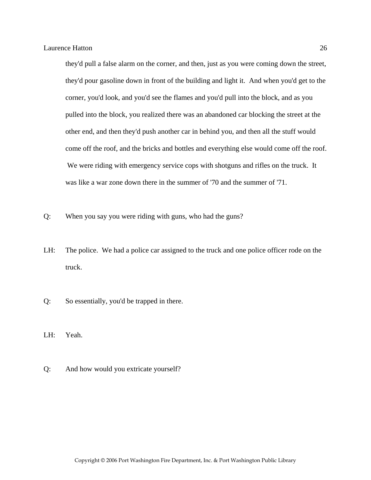they'd pull a false alarm on the corner, and then, just as you were coming down the street, they'd pour gasoline down in front of the building and light it. And when you'd get to the corner, you'd look, and you'd see the flames and you'd pull into the block, and as you pulled into the block, you realized there was an abandoned car blocking the street at the other end, and then they'd push another car in behind you, and then all the stuff would come off the roof, and the bricks and bottles and everything else would come off the roof. We were riding with emergency service cops with shotguns and rifles on the truck. It was like a war zone down there in the summer of '70 and the summer of '71.

- Q: When you say you were riding with guns, who had the guns?
- LH: The police. We had a police car assigned to the truck and one police officer rode on the truck.
- Q: So essentially, you'd be trapped in there.
- LH: Yeah.
- Q: And how would you extricate yourself?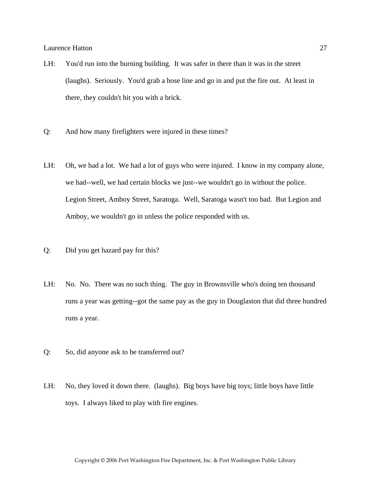- LH: You'd run into the burning building. It was safer in there than it was in the street (laughs). Seriously. You'd grab a hose line and go in and put the fire out. At least in there, they couldn't hit you with a brick.
- Q: And how many firefighters were injured in these times?
- LH: Oh, we had a lot. We had a lot of guys who were injured. I know in my company alone, we had--well, we had certain blocks we just--we wouldn't go in without the police. Legion Street, Amboy Street, Saratoga. Well, Saratoga wasn't too bad. But Legion and Amboy, we wouldn't go in unless the police responded with us.
- Q: Did you get hazard pay for this?
- LH: No. No. There was no such thing. The guy in Brownsville who's doing ten thousand runs a year was getting--got the same pay as the guy in Douglaston that did three hundred runs a year.
- Q: So, did anyone ask to be transferred out?
- LH: No, they loved it down there. (laughs). Big boys have big toys; little boys have little toys. I always liked to play with fire engines.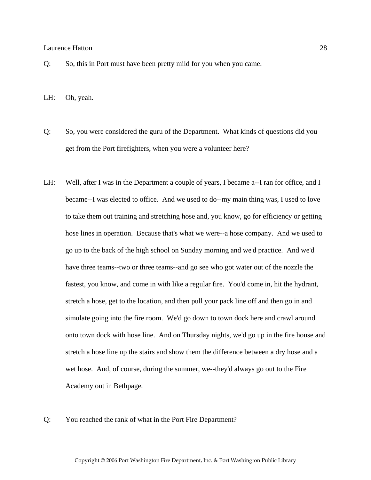- Q: So, this in Port must have been pretty mild for you when you came.
- LH: Oh, yeah.
- Q: So, you were considered the guru of the Department. What kinds of questions did you get from the Port firefighters, when you were a volunteer here?
- LH: Well, after I was in the Department a couple of years, I became a--I ran for office, and I became--I was elected to office. And we used to do--my main thing was, I used to love to take them out training and stretching hose and, you know, go for efficiency or getting hose lines in operation. Because that's what we were--a hose company. And we used to go up to the back of the high school on Sunday morning and we'd practice. And we'd have three teams--two or three teams--and go see who got water out of the nozzle the fastest, you know, and come in with like a regular fire. You'd come in, hit the hydrant, stretch a hose, get to the location, and then pull your pack line off and then go in and simulate going into the fire room. We'd go down to town dock here and crawl around onto town dock with hose line. And on Thursday nights, we'd go up in the fire house and stretch a hose line up the stairs and show them the difference between a dry hose and a wet hose. And, of course, during the summer, we--they'd always go out to the Fire Academy out in Bethpage.
- Q: You reached the rank of what in the Port Fire Department?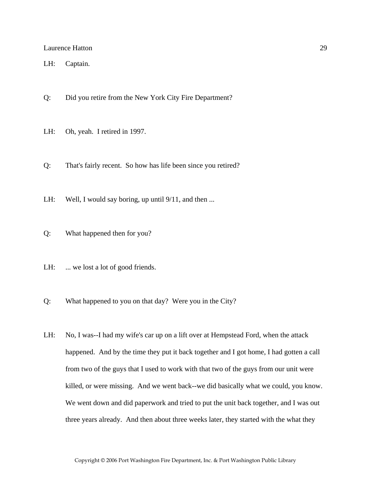LH: Captain.

- Q: Did you retire from the New York City Fire Department?
- LH: Oh, yeah. I retired in 1997.
- Q: That's fairly recent. So how has life been since you retired?
- LH: Well, I would say boring, up until  $9/11$ , and then ...
- Q: What happened then for you?
- LH: ... we lost a lot of good friends.
- Q: What happened to you on that day? Were you in the City?
- LH: No, I was--I had my wife's car up on a lift over at Hempstead Ford, when the attack happened. And by the time they put it back together and I got home, I had gotten a call from two of the guys that I used to work with that two of the guys from our unit were killed, or were missing. And we went back--we did basically what we could, you know. We went down and did paperwork and tried to put the unit back together, and I was out three years already. And then about three weeks later, they started with the what they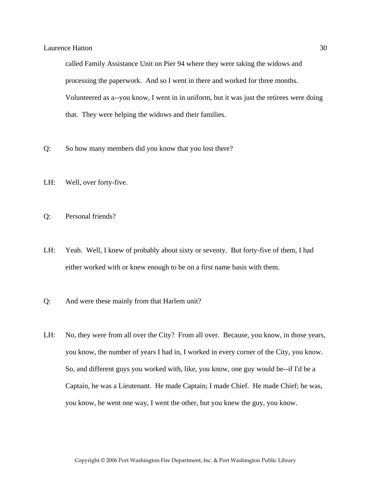called Family Assistance Unit on Pier 94 where they were taking the widows and processing the paperwork. And so I went in there and worked for three months. Volunteered as a--you know, I went in in uniform, but it was just the retirees were doing that. They were helping the widows and their families.

- Q: So how many members did you know that you lost there?
- LH: Well, over forty-five.
- Q: Personal friends?
- LH: Yeah. Well, I knew of probably about sixty or seventy. But forty-five of them, I had either worked with or knew enough to be on a first name basis with them.
- Q: And were these mainly from that Harlem unit?
- LH: No, they were from all over the City? From all over. Because, you know, in those years, you know, the number of years I had in, I worked in every corner of the City, you know. So, and different guys you worked with, like, you know, one guy would be--if I'd be a Captain, he was a Lieutenant. He made Captain; I made Chief. He made Chief; he was, you know, he went one way, I went the other, but you knew the guy, you know.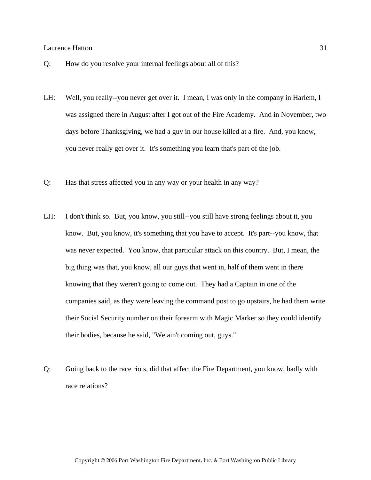- Q: How do you resolve your internal feelings about all of this?
- LH: Well, you really--you never get over it. I mean, I was only in the company in Harlem, I was assigned there in August after I got out of the Fire Academy. And in November, two days before Thanksgiving, we had a guy in our house killed at a fire. And, you know, you never really get over it. It's something you learn that's part of the job.
- Q: Has that stress affected you in any way or your health in any way?
- LH: I don't think so. But, you know, you still--you still have strong feelings about it, you know. But, you know, it's something that you have to accept. It's part--you know, that was never expected. You know, that particular attack on this country. But, I mean, the big thing was that, you know, all our guys that went in, half of them went in there knowing that they weren't going to come out. They had a Captain in one of the companies said, as they were leaving the command post to go upstairs, he had them write their Social Security number on their forearm with Magic Marker so they could identify their bodies, because he said, "We ain't coming out, guys."
- Q: Going back to the race riots, did that affect the Fire Department, you know, badly with race relations?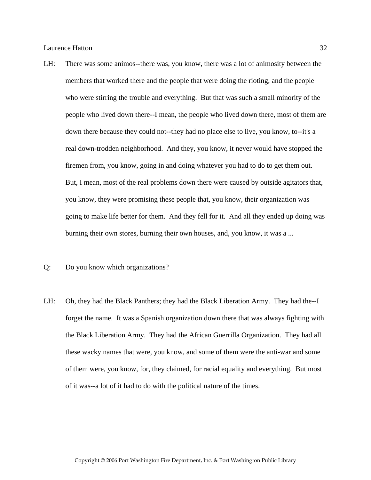- LH: There was some animos--there was, you know, there was a lot of animosity between the members that worked there and the people that were doing the rioting, and the people who were stirring the trouble and everything. But that was such a small minority of the people who lived down there--I mean, the people who lived down there, most of them are down there because they could not--they had no place else to live, you know, to--it's a real down-trodden neighborhood. And they, you know, it never would have stopped the firemen from, you know, going in and doing whatever you had to do to get them out. But, I mean, most of the real problems down there were caused by outside agitators that, you know, they were promising these people that, you know, their organization was going to make life better for them. And they fell for it. And all they ended up doing was burning their own stores, burning their own houses, and, you know, it was a ...
- Q: Do you know which organizations?
- LH: Oh, they had the Black Panthers; they had the Black Liberation Army. They had the--I forget the name. It was a Spanish organization down there that was always fighting with the Black Liberation Army. They had the African Guerrilla Organization. They had all these wacky names that were, you know, and some of them were the anti-war and some of them were, you know, for, they claimed, for racial equality and everything. But most of it was--a lot of it had to do with the political nature of the times.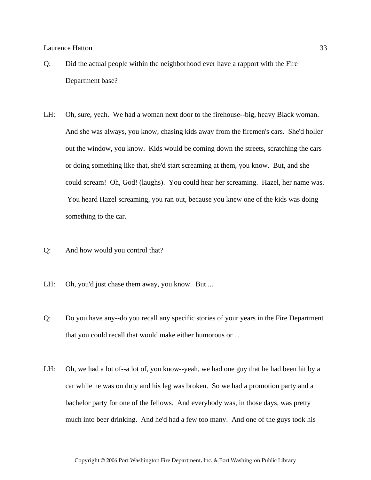- Q: Did the actual people within the neighborhood ever have a rapport with the Fire Department base?
- LH: Oh, sure, yeah. We had a woman next door to the firehouse--big, heavy Black woman. And she was always, you know, chasing kids away from the firemen's cars. She'd holler out the window, you know. Kids would be coming down the streets, scratching the cars or doing something like that, she'd start screaming at them, you know. But, and she could scream! Oh, God! (laughs). You could hear her screaming. Hazel, her name was. You heard Hazel screaming, you ran out, because you knew one of the kids was doing something to the car.
- Q: And how would you control that?
- LH: Oh, you'd just chase them away, you know. But ...
- Q: Do you have any--do you recall any specific stories of your years in the Fire Department that you could recall that would make either humorous or ...
- LH: Oh, we had a lot of--a lot of, you know--yeah, we had one guy that he had been hit by a car while he was on duty and his leg was broken. So we had a promotion party and a bachelor party for one of the fellows. And everybody was, in those days, was pretty much into beer drinking. And he'd had a few too many. And one of the guys took his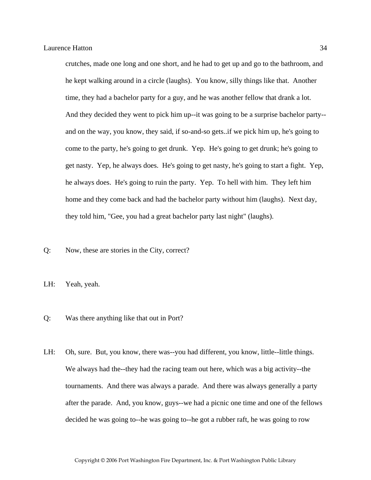crutches, made one long and one short, and he had to get up and go to the bathroom, and he kept walking around in a circle (laughs). You know, silly things like that. Another time, they had a bachelor party for a guy, and he was another fellow that drank a lot. And they decided they went to pick him up--it was going to be a surprise bachelor party- and on the way, you know, they said, if so-and-so gets..if we pick him up, he's going to come to the party, he's going to get drunk. Yep. He's going to get drunk; he's going to get nasty. Yep, he always does. He's going to get nasty, he's going to start a fight. Yep, he always does. He's going to ruin the party. Yep. To hell with him. They left him home and they come back and had the bachelor party without him (laughs). Next day, they told him, "Gee, you had a great bachelor party last night" (laughs).

Q: Now, these are stories in the City, correct?

LH: Yeah, yeah.

- Q: Was there anything like that out in Port?
- LH: Oh, sure. But, you know, there was--you had different, you know, little--little things. We always had the--they had the racing team out here, which was a big activity--the tournaments. And there was always a parade. And there was always generally a party after the parade. And, you know, guys--we had a picnic one time and one of the fellows decided he was going to--he was going to--he got a rubber raft, he was going to row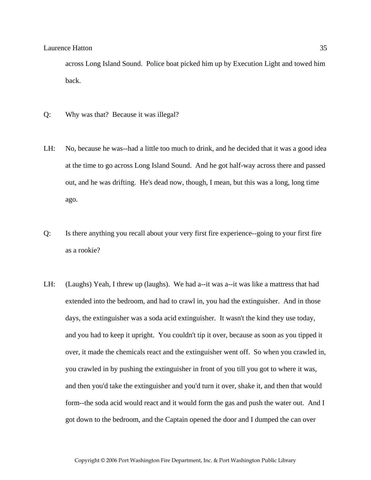across Long Island Sound. Police boat picked him up by Execution Light and towed him back.

- Q: Why was that? Because it was illegal?
- LH: No, because he was--had a little too much to drink, and he decided that it was a good idea at the time to go across Long Island Sound. And he got half-way across there and passed out, and he was drifting. He's dead now, though, I mean, but this was a long, long time ago.
- Q: Is there anything you recall about your very first fire experience--going to your first fire as a rookie?
- LH: (Laughs) Yeah, I threw up (laughs). We had a--it was a--it was like a mattress that had extended into the bedroom, and had to crawl in, you had the extinguisher. And in those days, the extinguisher was a soda acid extinguisher. It wasn't the kind they use today, and you had to keep it upright. You couldn't tip it over, because as soon as you tipped it over, it made the chemicals react and the extinguisher went off. So when you crawled in, you crawled in by pushing the extinguisher in front of you till you got to where it was, and then you'd take the extinguisher and you'd turn it over, shake it, and then that would form--the soda acid would react and it would form the gas and push the water out. And I got down to the bedroom, and the Captain opened the door and I dumped the can over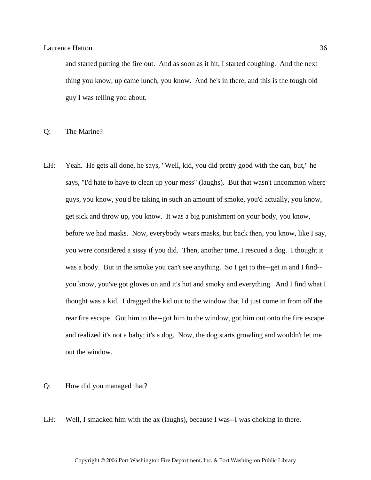and started putting the fire out. And as soon as it hit, I started coughing. And the next thing you know, up came lunch, you know. And he's in there, and this is the tough old guy I was telling you about.

Q: The Marine?

LH: Yeah. He gets all done, he says, "Well, kid, you did pretty good with the can, but," he says, "I'd hate to have to clean up your mess" (laughs). But that wasn't uncommon where guys, you know, you'd be taking in such an amount of smoke, you'd actually, you know, get sick and throw up, you know. It was a big punishment on your body, you know, before we had masks. Now, everybody wears masks, but back then, you know, like I say, you were considered a sissy if you did. Then, another time, I rescued a dog. I thought it was a body. But in the smoke you can't see anything. So I get to the--get in and I find- you know, you've got gloves on and it's hot and smoky and everything. And I find what I thought was a kid. I dragged the kid out to the window that I'd just come in from off the rear fire escape. Got him to the--got him to the window, got him out onto the fire escape and realized it's not a baby; it's a dog. Now, the dog starts growling and wouldn't let me out the window.

#### Q: How did you managed that?

LH: Well, I smacked him with the ax (laughs), because I was--I was choking in there.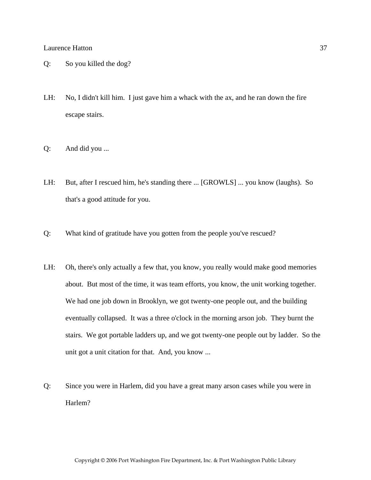- Q: So you killed the dog?
- LH: No, I didn't kill him. I just gave him a whack with the ax, and he ran down the fire escape stairs.
- Q: And did you ...
- LH: But, after I rescued him, he's standing there ... [GROWLS] ... you know (laughs). So that's a good attitude for you.
- Q: What kind of gratitude have you gotten from the people you've rescued?
- LH: Oh, there's only actually a few that, you know, you really would make good memories about. But most of the time, it was team efforts, you know, the unit working together. We had one job down in Brooklyn, we got twenty-one people out, and the building eventually collapsed. It was a three o'clock in the morning arson job. They burnt the stairs. We got portable ladders up, and we got twenty-one people out by ladder. So the unit got a unit citation for that. And, you know ...
- Q: Since you were in Harlem, did you have a great many arson cases while you were in Harlem?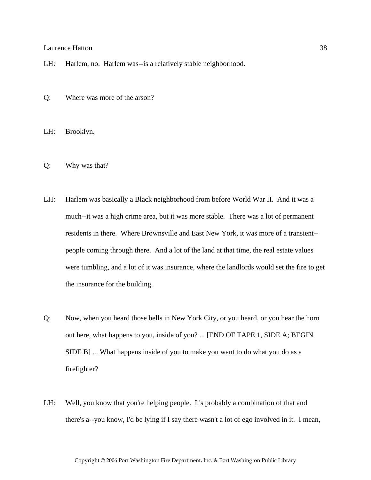- LH: Harlem, no. Harlem was--is a relatively stable neighborhood.
- Q: Where was more of the arson?

LH: Brooklyn.

- Q: Why was that?
- LH: Harlem was basically a Black neighborhood from before World War II. And it was a much--it was a high crime area, but it was more stable. There was a lot of permanent residents in there. Where Brownsville and East New York, it was more of a transient- people coming through there. And a lot of the land at that time, the real estate values were tumbling, and a lot of it was insurance, where the landlords would set the fire to get the insurance for the building.
- Q: Now, when you heard those bells in New York City, or you heard, or you hear the horn out here, what happens to you, inside of you? ... [END OF TAPE 1, SIDE A; BEGIN SIDE B] ... What happens inside of you to make you want to do what you do as a firefighter?
- LH: Well, you know that you're helping people. It's probably a combination of that and there's a--you know, I'd be lying if I say there wasn't a lot of ego involved in it. I mean,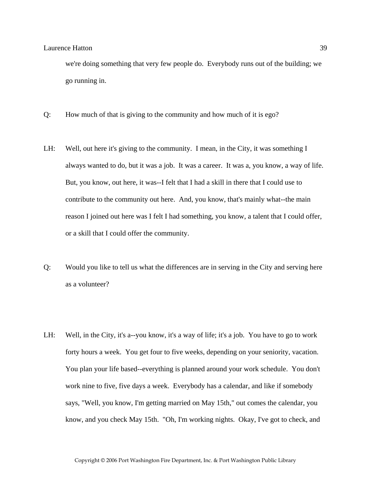we're doing something that very few people do. Everybody runs out of the building; we go running in.

- Q: How much of that is giving to the community and how much of it is ego?
- LH: Well, out here it's giving to the community. I mean, in the City, it was something I always wanted to do, but it was a job. It was a career. It was a, you know, a way of life. But, you know, out here, it was--I felt that I had a skill in there that I could use to contribute to the community out here. And, you know, that's mainly what--the main reason I joined out here was I felt I had something, you know, a talent that I could offer, or a skill that I could offer the community.
- Q: Would you like to tell us what the differences are in serving in the City and serving here as a volunteer?
- LH: Well, in the City, it's a--you know, it's a way of life; it's a job. You have to go to work forty hours a week. You get four to five weeks, depending on your seniority, vacation. You plan your life based--everything is planned around your work schedule. You don't work nine to five, five days a week. Everybody has a calendar, and like if somebody says, "Well, you know, I'm getting married on May 15th," out comes the calendar, you know, and you check May 15th. "Oh, I'm working nights. Okay, I've got to check, and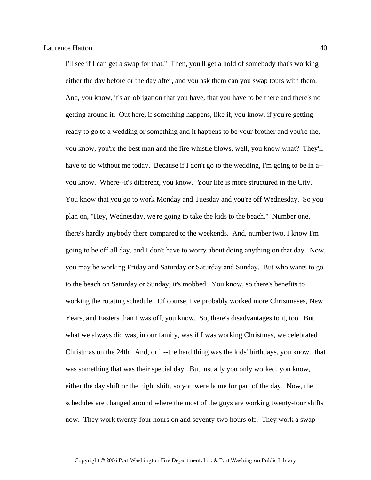I'll see if I can get a swap for that." Then, you'll get a hold of somebody that's working either the day before or the day after, and you ask them can you swap tours with them. And, you know, it's an obligation that you have, that you have to be there and there's no getting around it. Out here, if something happens, like if, you know, if you're getting ready to go to a wedding or something and it happens to be your brother and you're the, you know, you're the best man and the fire whistle blows, well, you know what? They'll have to do without me today. Because if I don't go to the wedding, I'm going to be in a-you know. Where--it's different, you know. Your life is more structured in the City. You know that you go to work Monday and Tuesday and you're off Wednesday. So you plan on, "Hey, Wednesday, we're going to take the kids to the beach." Number one, there's hardly anybody there compared to the weekends. And, number two, I know I'm going to be off all day, and I don't have to worry about doing anything on that day. Now, you may be working Friday and Saturday or Saturday and Sunday. But who wants to go to the beach on Saturday or Sunday; it's mobbed. You know, so there's benefits to working the rotating schedule. Of course, I've probably worked more Christmases, New Years, and Easters than I was off, you know. So, there's disadvantages to it, too. But what we always did was, in our family, was if I was working Christmas, we celebrated Christmas on the 24th. And, or if--the hard thing was the kids' birthdays, you know. that was something that was their special day. But, usually you only worked, you know, either the day shift or the night shift, so you were home for part of the day. Now, the schedules are changed around where the most of the guys are working twenty-four shifts now. They work twenty-four hours on and seventy-two hours off. They work a swap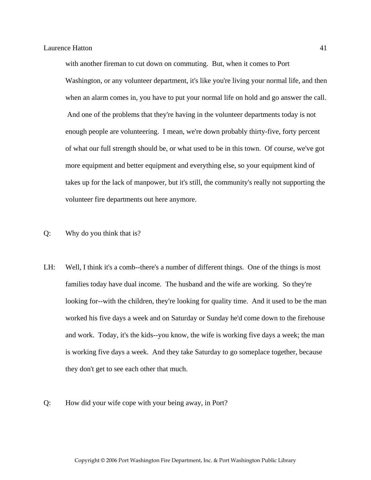with another fireman to cut down on commuting. But, when it comes to Port Washington, or any volunteer department, it's like you're living your normal life, and then when an alarm comes in, you have to put your normal life on hold and go answer the call. And one of the problems that they're having in the volunteer departments today is not enough people are volunteering. I mean, we're down probably thirty-five, forty percent of what our full strength should be, or what used to be in this town. Of course, we've got more equipment and better equipment and everything else, so your equipment kind of takes up for the lack of manpower, but it's still, the community's really not supporting the volunteer fire departments out here anymore.

- Q: Why do you think that is?
- LH: Well, I think it's a comb--there's a number of different things. One of the things is most families today have dual income. The husband and the wife are working. So they're looking for--with the children, they're looking for quality time. And it used to be the man worked his five days a week and on Saturday or Sunday he'd come down to the firehouse and work. Today, it's the kids--you know, the wife is working five days a week; the man is working five days a week. And they take Saturday to go someplace together, because they don't get to see each other that much.
- Q: How did your wife cope with your being away, in Port?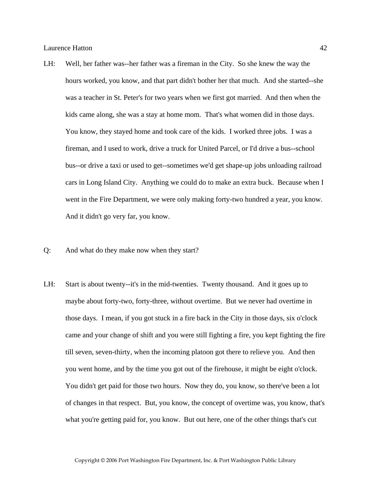- LH: Well, her father was--her father was a fireman in the City. So she knew the way the hours worked, you know, and that part didn't bother her that much. And she started--she was a teacher in St. Peter's for two years when we first got married. And then when the kids came along, she was a stay at home mom. That's what women did in those days. You know, they stayed home and took care of the kids. I worked three jobs. I was a fireman, and I used to work, drive a truck for United Parcel, or I'd drive a bus--school bus--or drive a taxi or used to get--sometimes we'd get shape-up jobs unloading railroad cars in Long Island City. Anything we could do to make an extra buck. Because when I went in the Fire Department, we were only making forty-two hundred a year, you know. And it didn't go very far, you know.
- Q: And what do they make now when they start?
- LH: Start is about twenty--it's in the mid-twenties. Twenty thousand. And it goes up to maybe about forty-two, forty-three, without overtime. But we never had overtime in those days. I mean, if you got stuck in a fire back in the City in those days, six o'clock came and your change of shift and you were still fighting a fire, you kept fighting the fire till seven, seven-thirty, when the incoming platoon got there to relieve you. And then you went home, and by the time you got out of the firehouse, it might be eight o'clock. You didn't get paid for those two hours. Now they do, you know, so there've been a lot of changes in that respect. But, you know, the concept of overtime was, you know, that's what you're getting paid for, you know. But out here, one of the other things that's cut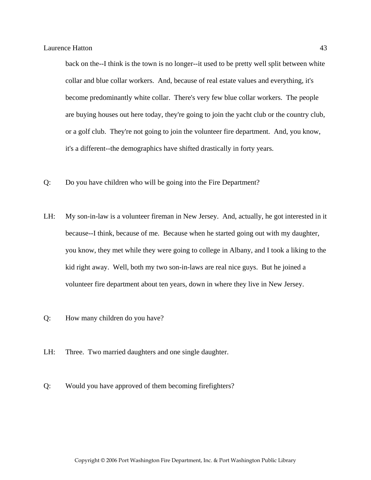back on the--I think is the town is no longer--it used to be pretty well split between white collar and blue collar workers. And, because of real estate values and everything, it's become predominantly white collar. There's very few blue collar workers. The people are buying houses out here today, they're going to join the yacht club or the country club, or a golf club. They're not going to join the volunteer fire department. And, you know, it's a different--the demographics have shifted drastically in forty years.

- Q: Do you have children who will be going into the Fire Department?
- LH: My son-in-law is a volunteer fireman in New Jersey. And, actually, he got interested in it because--I think, because of me. Because when he started going out with my daughter, you know, they met while they were going to college in Albany, and I took a liking to the kid right away. Well, both my two son-in-laws are real nice guys. But he joined a volunteer fire department about ten years, down in where they live in New Jersey.
- Q: How many children do you have?
- LH: Three. Two married daughters and one single daughter.
- Q: Would you have approved of them becoming firefighters?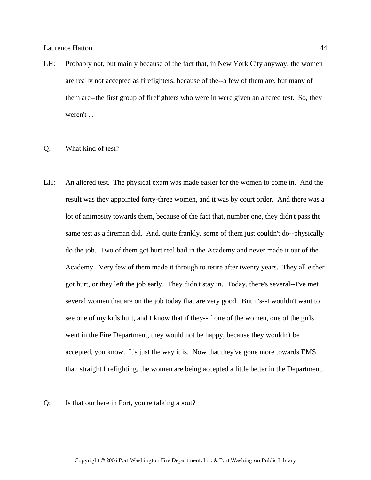- LH: Probably not, but mainly because of the fact that, in New York City anyway, the women are really not accepted as firefighters, because of the--a few of them are, but many of them are--the first group of firefighters who were in were given an altered test. So, they weren't ...
- Q: What kind of test?
- LH: An altered test. The physical exam was made easier for the women to come in. And the result was they appointed forty-three women, and it was by court order. And there was a lot of animosity towards them, because of the fact that, number one, they didn't pass the same test as a fireman did. And, quite frankly, some of them just couldn't do--physically do the job. Two of them got hurt real bad in the Academy and never made it out of the Academy. Very few of them made it through to retire after twenty years. They all either got hurt, or they left the job early. They didn't stay in. Today, there's several--I've met several women that are on the job today that are very good. But it's--I wouldn't want to see one of my kids hurt, and I know that if they--if one of the women, one of the girls went in the Fire Department, they would not be happy, because they wouldn't be accepted, you know. It's just the way it is. Now that they've gone more towards EMS than straight firefighting, the women are being accepted a little better in the Department.

Q: Is that our here in Port, you're talking about?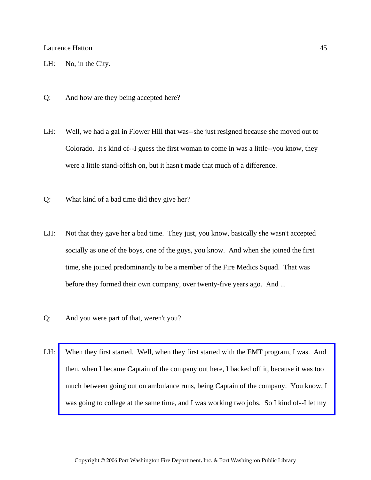- LH: No, in the City.
- Q: And how are they being accepted here?
- LH: Well, we had a gal in Flower Hill that was--she just resigned because she moved out to Colorado. It's kind of--I guess the first woman to come in was a little--you know, they were a little stand-offish on, but it hasn't made that much of a difference.
- Q: What kind of a bad time did they give her?
- LH: Not that they gave her a bad time. They just, you know, basically she wasn't accepted socially as one of the boys, one of the guys, you know. And when she joined the first time, she joined predominantly to be a member of the Fire Medics Squad. That was before they formed their own company, over twenty-five years ago. And ...
- Q: And you were part of that, weren't you?
- LH: [When they first started. Well, when they first started with the EMT program, I was. And](http://www.pwfdhistory.com/trans/hattonl_trans/news_cocks183a_web.jpg)  then, when I became Captain of the company out here, I backed off it, because it was too much between going out on ambulance runs, being Captain of the company. You know, I was going to college at the same time, and I was working two jobs. So I kind of--I let my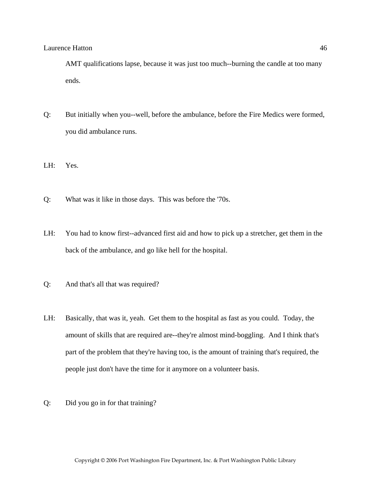AMT qualifications lapse, because it was just too much--burning the candle at too many ends.

- Q: But initially when you--well, before the ambulance, before the Fire Medics were formed, you did ambulance runs.
- LH: Yes.
- Q: What was it like in those days. This was before the '70s.
- LH: You had to know first--advanced first aid and how to pick up a stretcher, get them in the back of the ambulance, and go like hell for the hospital.
- Q: And that's all that was required?
- LH: Basically, that was it, yeah. Get them to the hospital as fast as you could. Today, the amount of skills that are required are--they're almost mind-boggling. And I think that's part of the problem that they're having too, is the amount of training that's required, the people just don't have the time for it anymore on a volunteer basis.
- Q: Did you go in for that training?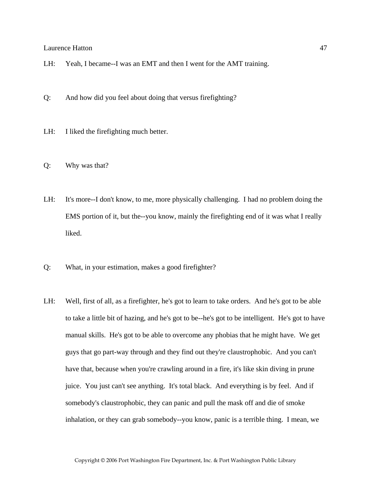- LH: Yeah, I became--I was an EMT and then I went for the AMT training.
- Q: And how did you feel about doing that versus firefighting?
- LH: I liked the firefighting much better.
- Q: Why was that?
- LH: It's more--I don't know, to me, more physically challenging. I had no problem doing the EMS portion of it, but the--you know, mainly the firefighting end of it was what I really liked.
- Q: What, in your estimation, makes a good firefighter?
- LH: Well, first of all, as a firefighter, he's got to learn to take orders. And he's got to be able to take a little bit of hazing, and he's got to be--he's got to be intelligent. He's got to have manual skills. He's got to be able to overcome any phobias that he might have. We get guys that go part-way through and they find out they're claustrophobic. And you can't have that, because when you're crawling around in a fire, it's like skin diving in prune juice. You just can't see anything. It's total black. And everything is by feel. And if somebody's claustrophobic, they can panic and pull the mask off and die of smoke inhalation, or they can grab somebody--you know, panic is a terrible thing. I mean, we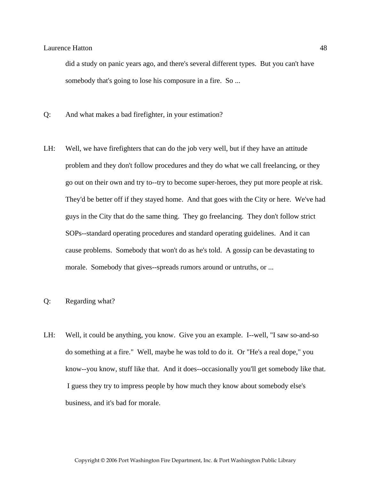did a study on panic years ago, and there's several different types. But you can't have somebody that's going to lose his composure in a fire. So ...

- Q: And what makes a bad firefighter, in your estimation?
- LH: Well, we have firefighters that can do the job very well, but if they have an attitude problem and they don't follow procedures and they do what we call freelancing, or they go out on their own and try to--try to become super-heroes, they put more people at risk. They'd be better off if they stayed home. And that goes with the City or here. We've had guys in the City that do the same thing. They go freelancing. They don't follow strict SOPs--standard operating procedures and standard operating guidelines. And it can cause problems. Somebody that won't do as he's told. A gossip can be devastating to morale. Somebody that gives--spreads rumors around or untruths, or ...

## Q: Regarding what?

LH: Well, it could be anything, you know. Give you an example. I--well, "I saw so-and-so do something at a fire." Well, maybe he was told to do it. Or "He's a real dope," you know--you know, stuff like that. And it does--occasionally you'll get somebody like that. I guess they try to impress people by how much they know about somebody else's business, and it's bad for morale.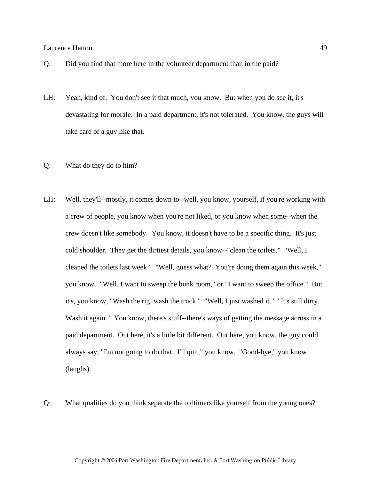- Q: Did you find that more here in the volunteer department than in the paid?
- LH: Yeah, kind of. You don't see it that much, you know. But when you do see it, it's devastating for morale. In a paid department, it's not tolerated. You know, the guys will take care of a guy like that.
- Q: What do they do to him?
- LH: Well, they'll--mostly, it comes down to--well, you know, yourself, if you're working with a crew of people, you know when you're not liked, or you know when some--when the crew doesn't like somebody. You know, it doesn't have to be a specific thing. It's just cold shoulder. They get the dirtiest details, you know--"clean the toilets." "Well, I cleaned the toilets last week." "Well, guess what? You're doing them again this week," you know. "Well, I want to sweep the bunk room," or "I want to sweep the office." But it's, you know, "Wash the rig, wash the truck." "Well, I just washed it." "It's still dirty. Wash it again." You know, there's stuff--there's ways of getting the message across in a paid department. Out here, it's a little bit different. Out here, you know, the guy could always say, "I'm not going to do that. I'll quit," you know. "Good-bye," you know (laughs).
- Q: What qualities do you think separate the oldtimers like yourself from the young ones?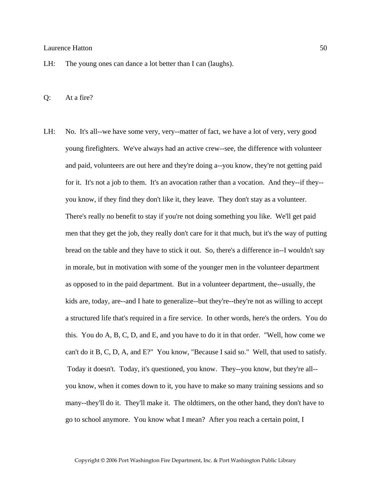- LH: The young ones can dance a lot better than I can (laughs).
- Q: At a fire?
- LH: No. It's all--we have some very, very--matter of fact, we have a lot of very, very good young firefighters. We've always had an active crew--see, the difference with volunteer and paid, volunteers are out here and they're doing a--you know, they're not getting paid for it. It's not a job to them. It's an avocation rather than a vocation. And they--if they- you know, if they find they don't like it, they leave. They don't stay as a volunteer. There's really no benefit to stay if you're not doing something you like. We'll get paid men that they get the job, they really don't care for it that much, but it's the way of putting bread on the table and they have to stick it out. So, there's a difference in--I wouldn't say in morale, but in motivation with some of the younger men in the volunteer department as opposed to in the paid department. But in a volunteer department, the--usually, the kids are, today, are--and I hate to generalize--but they're--they're not as willing to accept a structured life that's required in a fire service. In other words, here's the orders. You do this. You do A, B, C, D, and E, and you have to do it in that order. "Well, how come we can't do it B, C, D, A, and E?" You know, "Because I said so." Well, that used to satisfy. Today it doesn't. Today, it's questioned, you know. They--you know, but they're all- you know, when it comes down to it, you have to make so many training sessions and so many--they'll do it. They'll make it. The oldtimers, on the other hand, they don't have to go to school anymore. You know what I mean? After you reach a certain point, I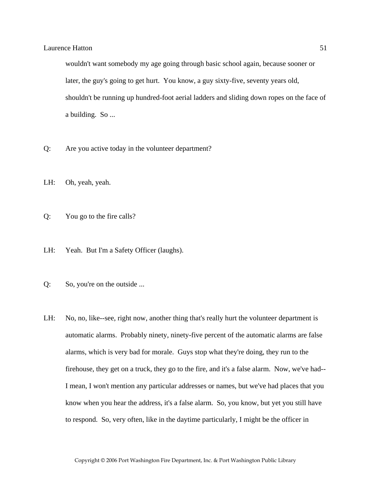wouldn't want somebody my age going through basic school again, because sooner or later, the guy's going to get hurt. You know, a guy sixty-five, seventy years old, shouldn't be running up hundred-foot aerial ladders and sliding down ropes on the face of a building. So ...

- Q: Are you active today in the volunteer department?
- LH: Oh, yeah, yeah.
- Q: You go to the fire calls?
- LH: Yeah. But I'm a Safety Officer (laughs).
- Q: So, you're on the outside ...
- LH: No, no, like--see, right now, another thing that's really hurt the volunteer department is automatic alarms. Probably ninety, ninety-five percent of the automatic alarms are false alarms, which is very bad for morale. Guys stop what they're doing, they run to the firehouse, they get on a truck, they go to the fire, and it's a false alarm. Now, we've had-- I mean, I won't mention any particular addresses or names, but we've had places that you know when you hear the address, it's a false alarm. So, you know, but yet you still have to respond. So, very often, like in the daytime particularly, I might be the officer in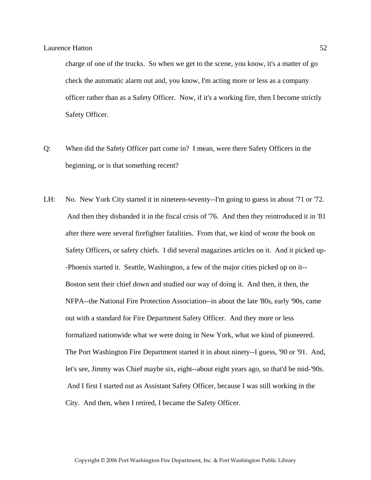charge of one of the trucks. So when we get to the scene, you know, it's a matter of go check the automatic alarm out and, you know, I'm acting more or less as a company officer rather than as a Safety Officer. Now, if it's a working fire, then I become strictly Safety Officer.

- Q: When did the Safety Officer part come in? I mean, were there Safety Officers in the beginning, or is that something recent?
- LH: No. New York City started it in nineteen-seventy--I'm going to guess in about '71 or '72. And then they disbanded it in the fiscal crisis of '76. And then they reintroduced it in '81 after there were several firefighter fatalities. From that, we kind of wrote the book on Safety Officers, or safety chiefs. I did several magazines articles on it. And it picked up- -Phoenix started it. Seattle, Washington, a few of the major cities picked up on it-- Boston sent their chief down and studied our way of doing it. And then, it then, the NFPA--the National Fire Protection Association--in about the late '80s, early '90s, came out with a standard for Fire Department Safety Officer. And they more or less formalized nationwide what we were doing in New York, what we kind of pioneered. The Port Washington Fire Department started it in about ninety--I guess, '90 or '91. And, let's see, Jimmy was Chief maybe six, eight--about eight years ago, so that'd be mid-'90s. And I first I started out as Assistant Safety Officer, because I was still working in the City. And then, when I retired, I became the Safety Officer.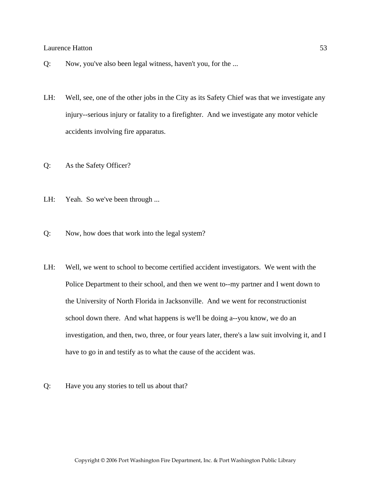- Q: Now, you've also been legal witness, haven't you, for the ...
- LH: Well, see, one of the other jobs in the City as its Safety Chief was that we investigate any injury--serious injury or fatality to a firefighter. And we investigate any motor vehicle accidents involving fire apparatus.
- Q: As the Safety Officer?
- LH: Yeah. So we've been through ...
- Q: Now, how does that work into the legal system?
- LH: Well, we went to school to become certified accident investigators. We went with the Police Department to their school, and then we went to--my partner and I went down to the University of North Florida in Jacksonville. And we went for reconstructionist school down there. And what happens is we'll be doing a--you know, we do an investigation, and then, two, three, or four years later, there's a law suit involving it, and I have to go in and testify as to what the cause of the accident was.
- Q: Have you any stories to tell us about that?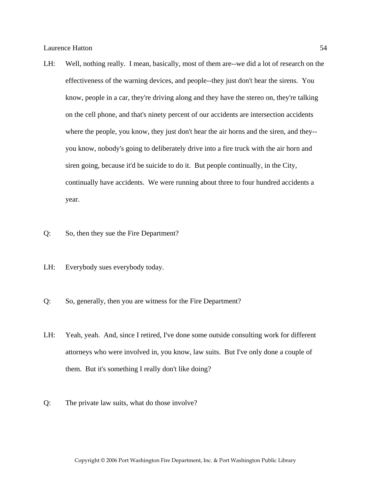- LH: Well, nothing really. I mean, basically, most of them are--we did a lot of research on the effectiveness of the warning devices, and people--they just don't hear the sirens. You know, people in a car, they're driving along and they have the stereo on, they're talking on the cell phone, and that's ninety percent of our accidents are intersection accidents where the people, you know, they just don't hear the air horns and the siren, and they-you know, nobody's going to deliberately drive into a fire truck with the air horn and siren going, because it'd be suicide to do it. But people continually, in the City, continually have accidents. We were running about three to four hundred accidents a year.
- Q: So, then they sue the Fire Department?
- LH: Everybody sues everybody today.
- Q: So, generally, then you are witness for the Fire Department?
- LH: Yeah, yeah. And, since I retired, I've done some outside consulting work for different attorneys who were involved in, you know, law suits. But I've only done a couple of them. But it's something I really don't like doing?
- Q: The private law suits, what do those involve?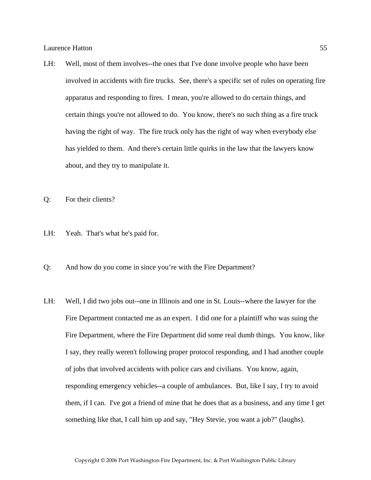- LH: Well, most of them involves--the ones that I've done involve people who have been involved in accidents with fire trucks. See, there's a specific set of rules on operating fire apparatus and responding to fires. I mean, you're allowed to do certain things, and certain things you're not allowed to do. You know, there's no such thing as a fire truck having the right of way. The fire truck only has the right of way when everybody else has yielded to them. And there's certain little quirks in the law that the lawyers know about, and they try to manipulate it.
- Q: For their clients?
- LH: Yeah. That's what he's paid for.
- Q: And how do you come in since you're with the Fire Department?
- LH: Well, I did two jobs out--one in Illinois and one in St. Louis--where the lawyer for the Fire Department contacted me as an expert. I did one for a plaintiff who was suing the Fire Department, where the Fire Department did some real dumb things. You know, like I say, they really weren't following proper protocol responding, and I had another couple of jobs that involved accidents with police cars and civilians. You know, again, responding emergency vehicles--a couple of ambulances. But, like I say, I try to avoid them, if I can. I've got a friend of mine that he does that as a business, and any time I get something like that, I call him up and say, "Hey Stevie, you want a job?" (laughs).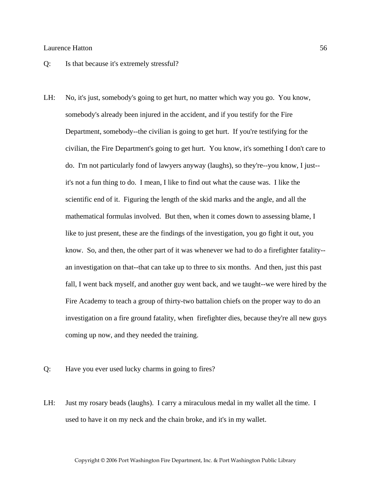- Q: Is that because it's extremely stressful?
- LH: No, it's just, somebody's going to get hurt, no matter which way you go. You know, somebody's already been injured in the accident, and if you testify for the Fire Department, somebody--the civilian is going to get hurt. If you're testifying for the civilian, the Fire Department's going to get hurt. You know, it's something I don't care to do. I'm not particularly fond of lawyers anyway (laughs), so they're--you know, I just- it's not a fun thing to do. I mean, I like to find out what the cause was. I like the scientific end of it. Figuring the length of the skid marks and the angle, and all the mathematical formulas involved. But then, when it comes down to assessing blame, I like to just present, these are the findings of the investigation, you go fight it out, you know. So, and then, the other part of it was whenever we had to do a firefighter fatality- an investigation on that--that can take up to three to six months. And then, just this past fall, I went back myself, and another guy went back, and we taught--we were hired by the Fire Academy to teach a group of thirty-two battalion chiefs on the proper way to do an investigation on a fire ground fatality, when firefighter dies, because they're all new guys coming up now, and they needed the training.
- Q: Have you ever used lucky charms in going to fires?
- LH: Just my rosary beads (laughs). I carry a miraculous medal in my wallet all the time. I used to have it on my neck and the chain broke, and it's in my wallet.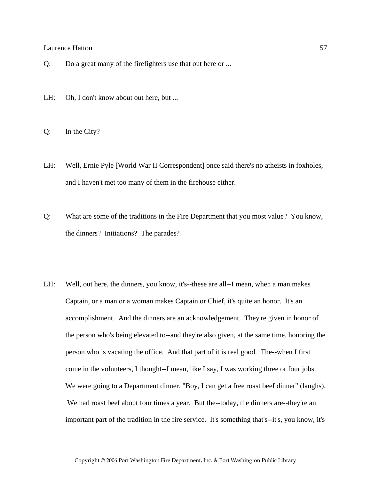- Q: Do a great many of the firefighters use that out here or ...
- LH: Oh, I don't know about out here, but ...
- Q: In the City?
- LH: Well, Ernie Pyle [World War II Correspondent] once said there's no atheists in foxholes, and I haven't met too many of them in the firehouse either.
- Q: What are some of the traditions in the Fire Department that you most value? You know, the dinners? Initiations? The parades?
- LH: Well, out here, the dinners, you know, it's--these are all--I mean, when a man makes Captain, or a man or a woman makes Captain or Chief, it's quite an honor. It's an accomplishment. And the dinners are an acknowledgement. They're given in honor of the person who's being elevated to--and they're also given, at the same time, honoring the person who is vacating the office. And that part of it is real good. The--when I first come in the volunteers, I thought--I mean, like I say, I was working three or four jobs. We were going to a Department dinner, "Boy, I can get a free roast beef dinner" (laughs). We had roast beef about four times a year. But the--today, the dinners are--they're an important part of the tradition in the fire service. It's something that's--it's, you know, it's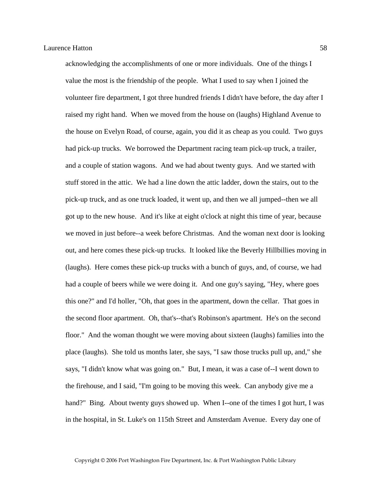acknowledging the accomplishments of one or more individuals. One of the things I value the most is the friendship of the people. What I used to say when I joined the volunteer fire department, I got three hundred friends I didn't have before, the day after I raised my right hand. When we moved from the house on (laughs) Highland Avenue to the house on Evelyn Road, of course, again, you did it as cheap as you could. Two guys had pick-up trucks. We borrowed the Department racing team pick-up truck, a trailer, and a couple of station wagons. And we had about twenty guys. And we started with stuff stored in the attic. We had a line down the attic ladder, down the stairs, out to the pick-up truck, and as one truck loaded, it went up, and then we all jumped--then we all got up to the new house. And it's like at eight o'clock at night this time of year, because we moved in just before--a week before Christmas. And the woman next door is looking out, and here comes these pick-up trucks. It looked like the Beverly Hillbillies moving in (laughs). Here comes these pick-up trucks with a bunch of guys, and, of course, we had had a couple of beers while we were doing it. And one guy's saying, "Hey, where goes this one?" and I'd holler, "Oh, that goes in the apartment, down the cellar. That goes in the second floor apartment. Oh, that's--that's Robinson's apartment. He's on the second floor." And the woman thought we were moving about sixteen (laughs) families into the place (laughs). She told us months later, she says, "I saw those trucks pull up, and," she says, "I didn't know what was going on." But, I mean, it was a case of--I went down to the firehouse, and I said, "I'm going to be moving this week. Can anybody give me a hand?" Bing. About twenty guys showed up. When I--one of the times I got hurt, I was in the hospital, in St. Luke's on 115th Street and Amsterdam Avenue. Every day one of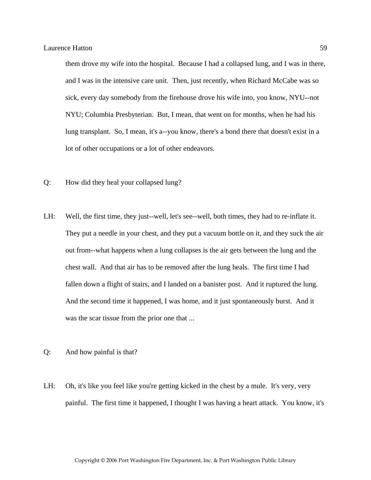them drove my wife into the hospital. Because I had a collapsed lung, and I was in there, and I was in the intensive care unit. Then, just recently, when Richard McCabe was so sick, every day somebody from the firehouse drove his wife into, you know, NYU--not NYU; Columbia Presbyterian. But, I mean, that went on for months, when he had his lung transplant. So, I mean, it's a--you know, there's a bond there that doesn't exist in a lot of other occupations or a lot of other endeavors.

- Q: How did they heal your collapsed lung?
- LH: Well, the first time, they just--well, let's see--well, both times, they had to re-inflate it. They put a needle in your chest, and they put a vacuum bottle on it, and they suck the air out from--what happens when a lung collapses is the air gets between the lung and the chest wall. And that air has to be removed after the lung heals. The first time I had fallen down a flight of stairs, and I landed on a banister post. And it ruptured the lung. And the second time it happened, I was home, and it just spontaneously burst. And it was the scar tissue from the prior one that ...
- Q: And how painful is that?
- LH: Oh, it's like you feel like you're getting kicked in the chest by a mule. It's very, very painful. The first time it happened, I thought I was having a heart attack. You know, it's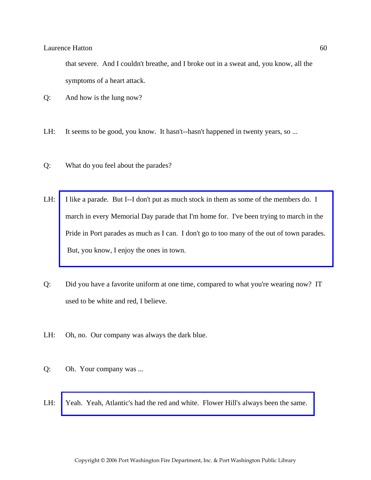that severe. And I couldn't breathe, and I broke out in a sweat and, you know, all the symptoms of a heart attack.

- Q: And how is the lung now?
- LH: It seems to be good, you know. It hasn't--hasn't happened in twenty years, so ...
- Q: What do you feel about the parades?
- LH: I like a parade. But I--I don't put as much stock in them as some of the members do. I march in every Memorial Day parade that I'm home for. I've been trying to march in the [Pride in Port parades as much as I can. I don't go to too many of the out of town parades.](http://www.pwfdhistory.com/trans/hattonl_trans/scrapbk058_pz_web.jpg)  But, you know, I enjoy the ones in town.
- Q: Did you have a favorite uniform at one time, compared to what you're wearing now? IT used to be white and red, I believe.
- LH: Oh, no. Our company was always the dark blue.
- Q: Oh. Your company was ...
- LH: [Yeah. Yeah, Atlantic's had the red and white. Flower Hill's always been the same.](http://www.pwfdhistory.com/trans/hattonl_trans/ahlparade.jpg)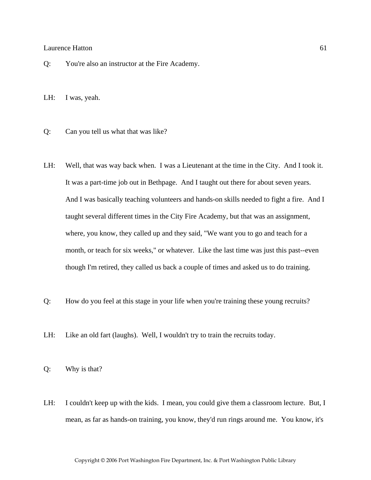Q: You're also an instructor at the Fire Academy.

LH: I was, yeah.

- Q: Can you tell us what that was like?
- LH: Well, that was way back when. I was a Lieutenant at the time in the City. And I took it. It was a part-time job out in Bethpage. And I taught out there for about seven years. And I was basically teaching volunteers and hands-on skills needed to fight a fire. And I taught several different times in the City Fire Academy, but that was an assignment, where, you know, they called up and they said, "We want you to go and teach for a month, or teach for six weeks," or whatever. Like the last time was just this past--even though I'm retired, they called us back a couple of times and asked us to do training.
- Q: How do you feel at this stage in your life when you're training these young recruits?
- LH: Like an old fart (laughs). Well, I wouldn't try to train the recruits today.

Q: Why is that?

LH: I couldn't keep up with the kids. I mean, you could give them a classroom lecture. But, I mean, as far as hands-on training, you know, they'd run rings around me. You know, it's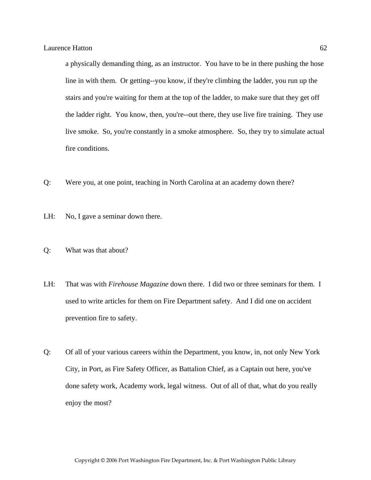a physically demanding thing, as an instructor. You have to be in there pushing the hose line in with them. Or getting--you know, if they're climbing the ladder, you run up the stairs and you're waiting for them at the top of the ladder, to make sure that they get off the ladder right. You know, then, you're--out there, they use live fire training. They use live smoke. So, you're constantly in a smoke atmosphere. So, they try to simulate actual fire conditions.

- Q: Were you, at one point, teaching in North Carolina at an academy down there?
- LH: No, I gave a seminar down there.
- Q: What was that about?
- LH: That was with *Firehouse Magazine* down there. I did two or three seminars for them. I used to write articles for them on Fire Department safety. And I did one on accident prevention fire to safety.
- Q: Of all of your various careers within the Department, you know, in, not only New York City, in Port, as Fire Safety Officer, as Battalion Chief, as a Captain out here, you've done safety work, Academy work, legal witness. Out of all of that, what do you really enjoy the most?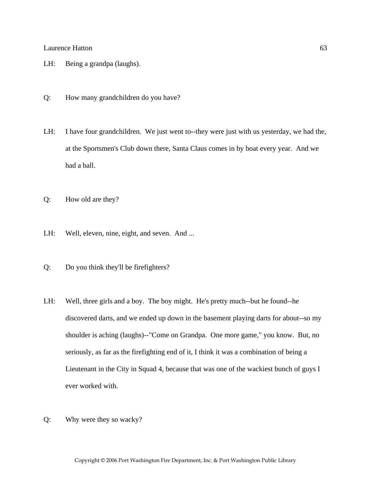- LH: Being a grandpa (laughs).
- Q: How many grandchildren do you have?
- LH: I have four grandchildren. We just went to--they were just with us yesterday, we had the, at the Sportsmen's Club down there, Santa Claus comes in by boat every year. And we had a ball.
- Q: How old are they?
- LH: Well, eleven, nine, eight, and seven. And ...
- Q: Do you think they'll be firefighters?
- LH: Well, three girls and a boy. The boy might. He's pretty much--but he found--he discovered darts, and we ended up down in the basement playing darts for about--so my shoulder is aching (laughs)--"Come on Grandpa. One more game," you know. But, no seriously, as far as the firefighting end of it, I think it was a combination of being a Lieutenant in the City in Squad 4, because that was one of the wackiest bunch of guys I ever worked with.
- Q: Why were they so wacky?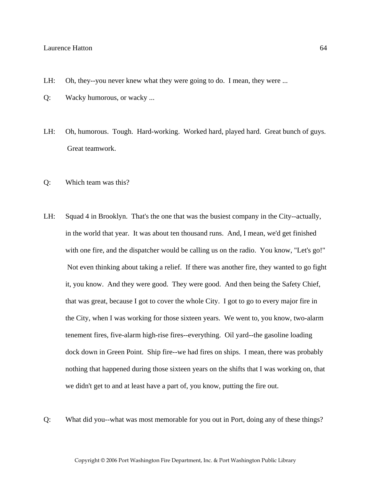- LH: Oh, they--you never knew what they were going to do. I mean, they were ...
- Q: Wacky humorous, or wacky ...
- LH: Oh, humorous. Tough. Hard-working. Worked hard, played hard. Great bunch of guys. Great teamwork.
- Q: Which team was this?
- LH: Squad 4 in Brooklyn. That's the one that was the busiest company in the City--actually, in the world that year. It was about ten thousand runs. And, I mean, we'd get finished with one fire, and the dispatcher would be calling us on the radio. You know, "Let's go!" Not even thinking about taking a relief. If there was another fire, they wanted to go fight it, you know. And they were good. They were good. And then being the Safety Chief, that was great, because I got to cover the whole City. I got to go to every major fire in the City, when I was working for those sixteen years. We went to, you know, two-alarm tenement fires, five-alarm high-rise fires--everything. Oil yard--the gasoline loading dock down in Green Point. Ship fire--we had fires on ships. I mean, there was probably nothing that happened during those sixteen years on the shifts that I was working on, that we didn't get to and at least have a part of, you know, putting the fire out.
- Q: What did you--what was most memorable for you out in Port, doing any of these things?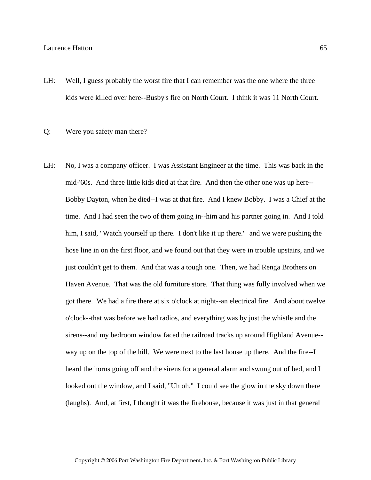- LH: Well, I guess probably the worst fire that I can remember was the one where the three kids were killed over here--Busby's fire on North Court. I think it was 11 North Court.
- Q: Were you safety man there?
- LH: No, I was a company officer. I was Assistant Engineer at the time. This was back in the mid-'60s. And three little kids died at that fire. And then the other one was up here-- Bobby Dayton, when he died--I was at that fire. And I knew Bobby. I was a Chief at the time. And I had seen the two of them going in--him and his partner going in. And I told him, I said, "Watch yourself up there. I don't like it up there." and we were pushing the hose line in on the first floor, and we found out that they were in trouble upstairs, and we just couldn't get to them. And that was a tough one. Then, we had Renga Brothers on Haven Avenue. That was the old furniture store. That thing was fully involved when we got there. We had a fire there at six o'clock at night--an electrical fire. And about twelve o'clock--that was before we had radios, and everything was by just the whistle and the sirens--and my bedroom window faced the railroad tracks up around Highland Avenue- way up on the top of the hill. We were next to the last house up there. And the fire--I heard the horns going off and the sirens for a general alarm and swung out of bed, and I looked out the window, and I said, "Uh oh." I could see the glow in the sky down there (laughs). And, at first, I thought it was the firehouse, because it was just in that general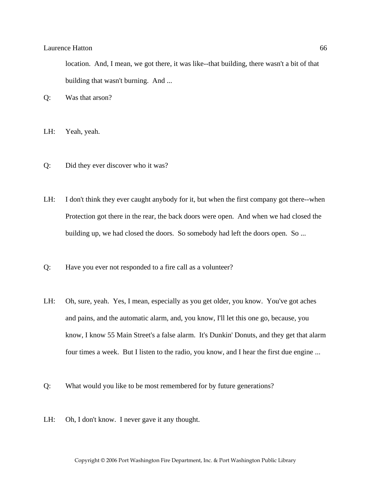location. And, I mean, we got there, it was like--that building, there wasn't a bit of that building that wasn't burning. And ...

Q: Was that arson?

- LH: Yeah, yeah.
- Q: Did they ever discover who it was?
- LH: I don't think they ever caught anybody for it, but when the first company got there--when Protection got there in the rear, the back doors were open. And when we had closed the building up, we had closed the doors. So somebody had left the doors open. So ...
- Q: Have you ever not responded to a fire call as a volunteer?
- LH: Oh, sure, yeah. Yes, I mean, especially as you get older, you know. You've got aches and pains, and the automatic alarm, and, you know, I'll let this one go, because, you know, I know 55 Main Street's a false alarm. It's Dunkin' Donuts, and they get that alarm four times a week. But I listen to the radio, you know, and I hear the first due engine ...
- Q: What would you like to be most remembered for by future generations?
- LH: Oh, I don't know. I never gave it any thought.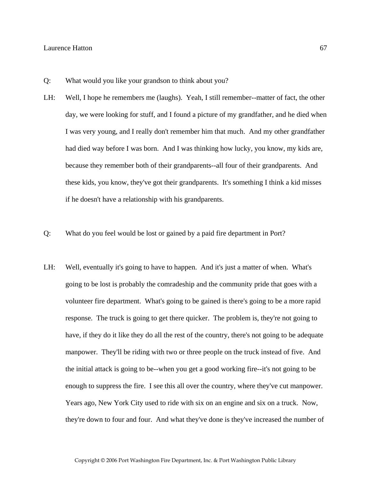- Q: What would you like your grandson to think about you?
- LH: Well, I hope he remembers me (laughs). Yeah, I still remember--matter of fact, the other day, we were looking for stuff, and I found a picture of my grandfather, and he died when I was very young, and I really don't remember him that much. And my other grandfather had died way before I was born. And I was thinking how lucky, you know, my kids are, because they remember both of their grandparents--all four of their grandparents. And these kids, you know, they've got their grandparents. It's something I think a kid misses if he doesn't have a relationship with his grandparents.
- Q: What do you feel would be lost or gained by a paid fire department in Port?
- LH: Well, eventually it's going to have to happen. And it's just a matter of when. What's going to be lost is probably the comradeship and the community pride that goes with a volunteer fire department. What's going to be gained is there's going to be a more rapid response. The truck is going to get there quicker. The problem is, they're not going to have, if they do it like they do all the rest of the country, there's not going to be adequate manpower. They'll be riding with two or three people on the truck instead of five. And the initial attack is going to be--when you get a good working fire--it's not going to be enough to suppress the fire. I see this all over the country, where they've cut manpower. Years ago, New York City used to ride with six on an engine and six on a truck. Now, they're down to four and four. And what they've done is they've increased the number of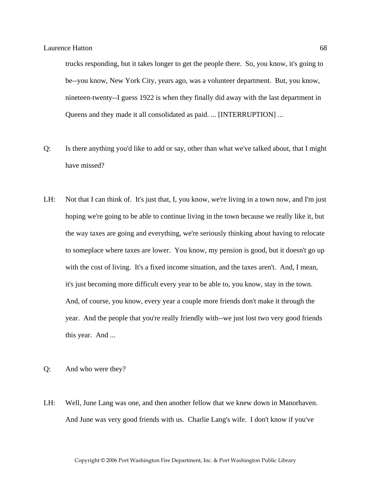trucks responding, but it takes longer to get the people there. So, you know, it's going to be--you know, New York City, years ago, was a volunteer department. But, you know, nineteen-twenty--I guess 1922 is when they finally did away with the last department in Queens and they made it all consolidated as paid. ... [INTERRUPTION] ...

- Q: Is there anything you'd like to add or say, other than what we've talked about, that I might have missed?
- LH: Not that I can think of. It's just that, I, you know, we're living in a town now, and I'm just hoping we're going to be able to continue living in the town because we really like it, but the way taxes are going and everything, we're seriously thinking about having to relocate to someplace where taxes are lower. You know, my pension is good, but it doesn't go up with the cost of living. It's a fixed income situation, and the taxes aren't. And, I mean, it's just becoming more difficult every year to be able to, you know, stay in the town. And, of course, you know, every year a couple more friends don't make it through the year. And the people that you're really friendly with--we just lost two very good friends this year. And ...
- Q: And who were they?
- LH: Well, June Lang was one, and then another fellow that we knew down in Manorhaven. And June was very good friends with us. Charlie Lang's wife. I don't know if you've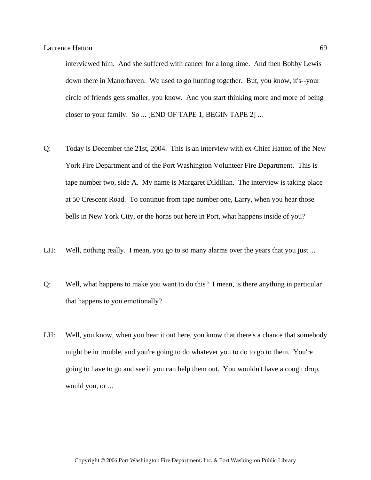interviewed him. And she suffered with cancer for a long time. And then Bobby Lewis down there in Manorhaven. We used to go hunting together. But, you know, it's--your circle of friends gets smaller, you know. And you start thinking more and more of being closer to your family. So ... [END OF TAPE 1, BEGIN TAPE 2] ...

- Q: Today is December the 21st, 2004. This is an interview with ex-Chief Hatton of the New York Fire Department and of the Port Washington Volunteer Fire Department. This is tape number two, side A. My name is Margaret Dildilian. The interview is taking place at 50 Crescent Road. To continue from tape number one, Larry, when you hear those bells in New York City, or the horns out here in Port, what happens inside of you?
- LH: Well, nothing really. I mean, you go to so many alarms over the years that you just ...
- Q: Well, what happens to make you want to do this? I mean, is there anything in particular that happens to you emotionally?
- LH: Well, you know, when you hear it out here, you know that there's a chance that somebody might be in trouble, and you're going to do whatever you to do to go to them. You're going to have to go and see if you can help them out. You wouldn't have a cough drop, would you, or ...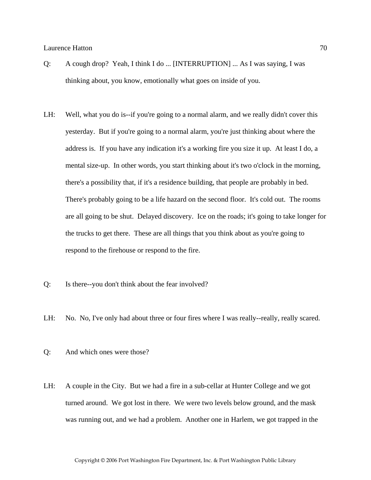- Q: A cough drop? Yeah, I think I do ... [INTERRUPTION] ... As I was saying, I was thinking about, you know, emotionally what goes on inside of you.
- LH: Well, what you do is--if you're going to a normal alarm, and we really didn't cover this yesterday. But if you're going to a normal alarm, you're just thinking about where the address is. If you have any indication it's a working fire you size it up. At least I do, a mental size-up. In other words, you start thinking about it's two o'clock in the morning, there's a possibility that, if it's a residence building, that people are probably in bed. There's probably going to be a life hazard on the second floor. It's cold out. The rooms are all going to be shut. Delayed discovery. Ice on the roads; it's going to take longer for the trucks to get there. These are all things that you think about as you're going to respond to the firehouse or respond to the fire.
- Q: Is there--you don't think about the fear involved?
- LH: No. No, I've only had about three or four fires where I was really-really, really scared.
- Q: And which ones were those?
- LH: A couple in the City. But we had a fire in a sub-cellar at Hunter College and we got turned around. We got lost in there. We were two levels below ground, and the mask was running out, and we had a problem. Another one in Harlem, we got trapped in the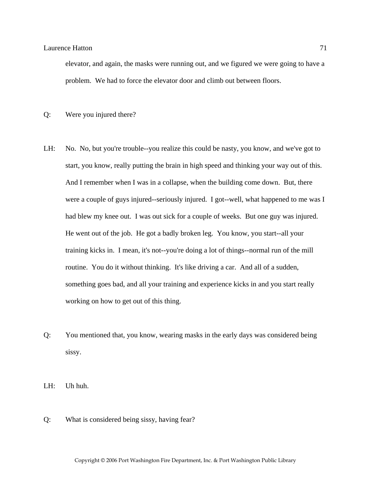elevator, and again, the masks were running out, and we figured we were going to have a problem. We had to force the elevator door and climb out between floors.

Q: Were you injured there?

- LH: No. No, but you're trouble--you realize this could be nasty, you know, and we've got to start, you know, really putting the brain in high speed and thinking your way out of this. And I remember when I was in a collapse, when the building come down. But, there were a couple of guys injured--seriously injured. I got--well, what happened to me was I had blew my knee out. I was out sick for a couple of weeks. But one guy was injured. He went out of the job. He got a badly broken leg. You know, you start--all your training kicks in. I mean, it's not--you're doing a lot of things--normal run of the mill routine. You do it without thinking. It's like driving a car. And all of a sudden, something goes bad, and all your training and experience kicks in and you start really working on how to get out of this thing.
- Q: You mentioned that, you know, wearing masks in the early days was considered being sissy.

LH: Uh huh.

Q: What is considered being sissy, having fear?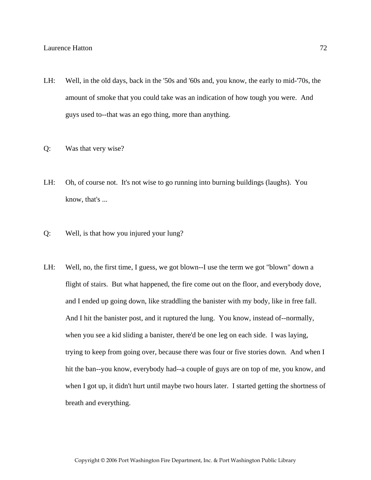- LH: Well, in the old days, back in the '50s and '60s and, you know, the early to mid-'70s, the amount of smoke that you could take was an indication of how tough you were. And guys used to--that was an ego thing, more than anything.
- Q: Was that very wise?
- LH: Oh, of course not. It's not wise to go running into burning buildings (laughs). You know, that's ...
- Q: Well, is that how you injured your lung?
- LH: Well, no, the first time, I guess, we got blown--I use the term we got "blown" down a flight of stairs. But what happened, the fire come out on the floor, and everybody dove, and I ended up going down, like straddling the banister with my body, like in free fall. And I hit the banister post, and it ruptured the lung. You know, instead of--normally, when you see a kid sliding a banister, there'd be one leg on each side. I was laying, trying to keep from going over, because there was four or five stories down. And when I hit the ban--you know, everybody had--a couple of guys are on top of me, you know, and when I got up, it didn't hurt until maybe two hours later. I started getting the shortness of breath and everything.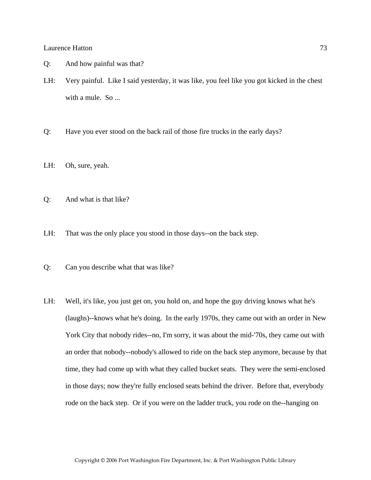- Q: And how painful was that?
- LH: Very painful. Like I said yesterday, it was like, you feel like you got kicked in the chest with a mule. So ...
- Q: Have you ever stood on the back rail of those fire trucks in the early days?
- LH: Oh, sure, yeah.
- Q: And what is that like?
- LH: That was the only place you stood in those days--on the back step.
- Q: Can you describe what that was like?
- LH: Well, it's like, you just get on, you hold on, and hope the guy driving knows what he's (laughs)--knows what he's doing. In the early 1970s, they came out with an order in New York City that nobody rides--no, I'm sorry, it was about the mid-'70s, they came out with an order that nobody--nobody's allowed to ride on the back step anymore, because by that time, they had come up with what they called bucket seats. They were the semi-enclosed in those days; now they're fully enclosed seats behind the driver. Before that, everybody rode on the back step. Or if you were on the ladder truck, you rode on the--hanging on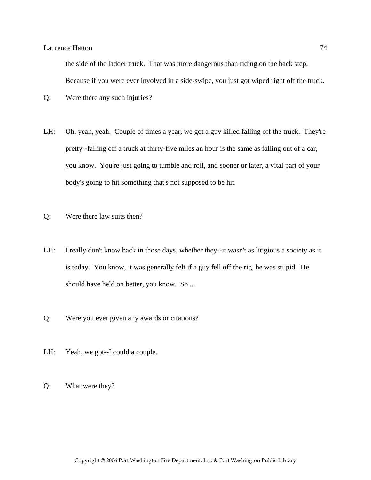the side of the ladder truck. That was more dangerous than riding on the back step. Because if you were ever involved in a side-swipe, you just got wiped right off the truck.

- Q: Were there any such injuries?
- LH: Oh, yeah, yeah. Couple of times a year, we got a guy killed falling off the truck. They're pretty--falling off a truck at thirty-five miles an hour is the same as falling out of a car, you know. You're just going to tumble and roll, and sooner or later, a vital part of your body's going to hit something that's not supposed to be hit.
- Q: Were there law suits then?
- LH: I really don't know back in those days, whether they--it wasn't as litigious a society as it is today. You know, it was generally felt if a guy fell off the rig, he was stupid. He should have held on better, you know. So ...
- Q: Were you ever given any awards or citations?
- LH: Yeah, we got--I could a couple.
- Q: What were they?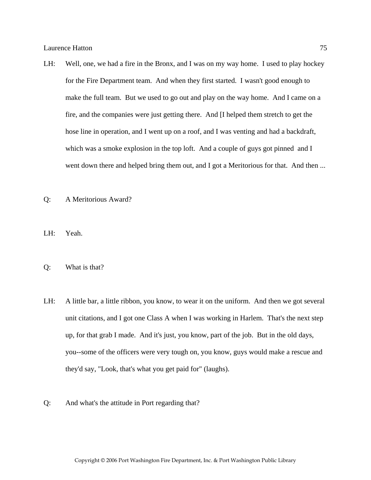- LH: Well, one, we had a fire in the Bronx, and I was on my way home. I used to play hockey for the Fire Department team. And when they first started. I wasn't good enough to make the full team. But we used to go out and play on the way home. And I came on a fire, and the companies were just getting there. And [I helped them stretch to get the hose line in operation, and I went up on a roof, and I was venting and had a backdraft, which was a smoke explosion in the top loft. And a couple of guys got pinned and I went down there and helped bring them out, and I got a Meritorious for that. And then ...
- Q: A Meritorious Award?
- LH: Yeah.
- Q: What is that?
- LH: A little bar, a little ribbon, you know, to wear it on the uniform. And then we got several unit citations, and I got one Class A when I was working in Harlem. That's the next step up, for that grab I made. And it's just, you know, part of the job. But in the old days, you--some of the officers were very tough on, you know, guys would make a rescue and they'd say, "Look, that's what you get paid for" (laughs).
- Q: And what's the attitude in Port regarding that?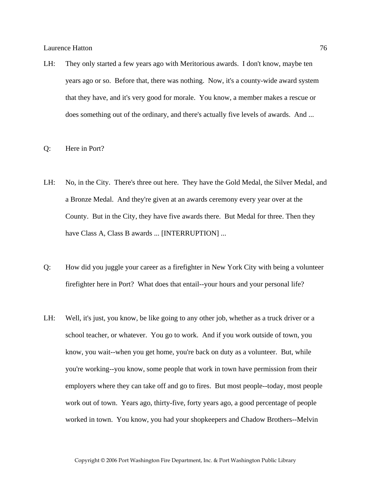LH: They only started a few years ago with Meritorious awards. I don't know, maybe ten years ago or so. Before that, there was nothing. Now, it's a county-wide award system that they have, and it's very good for morale. You know, a member makes a rescue or does something out of the ordinary, and there's actually five levels of awards. And ...

### Q: Here in Port?

- LH: No, in the City. There's three out here. They have the Gold Medal, the Silver Medal, and a Bronze Medal. And they're given at an awards ceremony every year over at the County. But in the City, they have five awards there. But Medal for three. Then they have Class A, Class B awards ... [INTERRUPTION] ...
- Q: How did you juggle your career as a firefighter in New York City with being a volunteer firefighter here in Port? What does that entail--your hours and your personal life?
- LH: Well, it's just, you know, be like going to any other job, whether as a truck driver or a school teacher, or whatever. You go to work. And if you work outside of town, you know, you wait--when you get home, you're back on duty as a volunteer. But, while you're working--you know, some people that work in town have permission from their employers where they can take off and go to fires. But most people--today, most people work out of town. Years ago, thirty-five, forty years ago, a good percentage of people worked in town. You know, you had your shopkeepers and Chadow Brothers--Melvin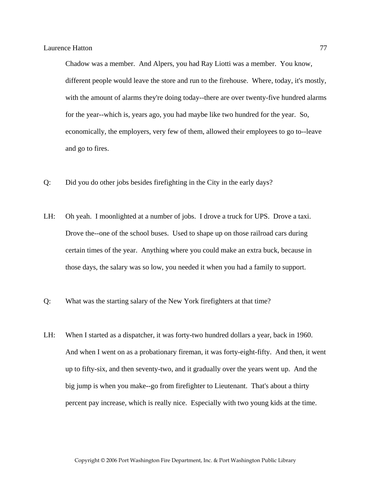Chadow was a member. And Alpers, you had Ray Liotti was a member. You know, different people would leave the store and run to the firehouse. Where, today, it's mostly, with the amount of alarms they're doing today--there are over twenty-five hundred alarms for the year--which is, years ago, you had maybe like two hundred for the year. So, economically, the employers, very few of them, allowed their employees to go to--leave and go to fires.

- Q: Did you do other jobs besides firefighting in the City in the early days?
- LH: Oh yeah. I moonlighted at a number of jobs. I drove a truck for UPS. Drove a taxi. Drove the--one of the school buses. Used to shape up on those railroad cars during certain times of the year. Anything where you could make an extra buck, because in those days, the salary was so low, you needed it when you had a family to support.
- Q: What was the starting salary of the New York firefighters at that time?
- LH: When I started as a dispatcher, it was forty-two hundred dollars a year, back in 1960. And when I went on as a probationary fireman, it was forty-eight-fifty. And then, it went up to fifty-six, and then seventy-two, and it gradually over the years went up. And the big jump is when you make--go from firefighter to Lieutenant. That's about a thirty percent pay increase, which is really nice. Especially with two young kids at the time.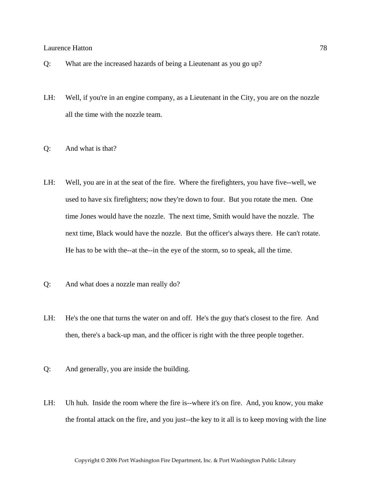- Q: What are the increased hazards of being a Lieutenant as you go up?
- LH: Well, if you're in an engine company, as a Lieutenant in the City, you are on the nozzle all the time with the nozzle team.
- Q: And what is that?
- LH: Well, you are in at the seat of the fire. Where the firefighters, you have five--well, we used to have six firefighters; now they're down to four. But you rotate the men. One time Jones would have the nozzle. The next time, Smith would have the nozzle. The next time, Black would have the nozzle. But the officer's always there. He can't rotate. He has to be with the--at the--in the eye of the storm, so to speak, all the time.
- Q: And what does a nozzle man really do?
- LH: He's the one that turns the water on and off. He's the guy that's closest to the fire. And then, there's a back-up man, and the officer is right with the three people together.
- Q: And generally, you are inside the building.
- LH: Uh huh. Inside the room where the fire is--where it's on fire. And, you know, you make the frontal attack on the fire, and you just--the key to it all is to keep moving with the line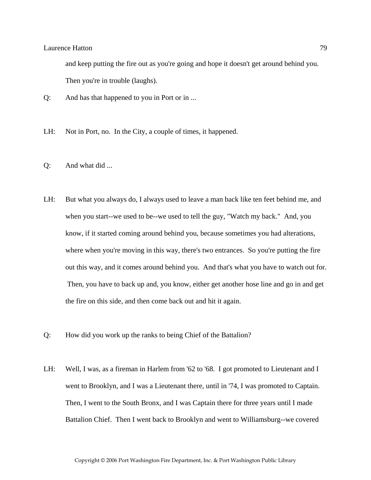and keep putting the fire out as you're going and hope it doesn't get around behind you. Then you're in trouble (laughs).

- Q: And has that happened to you in Port or in ...
- LH: Not in Port, no. In the City, a couple of times, it happened.
- Q: And what did ...
- LH: But what you always do, I always used to leave a man back like ten feet behind me, and when you start--we used to be--we used to tell the guy, "Watch my back." And, you know, if it started coming around behind you, because sometimes you had alterations, where when you're moving in this way, there's two entrances. So you're putting the fire out this way, and it comes around behind you. And that's what you have to watch out for. Then, you have to back up and, you know, either get another hose line and go in and get the fire on this side, and then come back out and hit it again.
- Q: How did you work up the ranks to being Chief of the Battalion?
- LH: Well, I was, as a fireman in Harlem from '62 to '68. I got promoted to Lieutenant and I went to Brooklyn, and I was a Lieutenant there, until in '74, I was promoted to Captain. Then, I went to the South Bronx, and I was Captain there for three years until I made Battalion Chief. Then I went back to Brooklyn and went to Williamsburg--we covered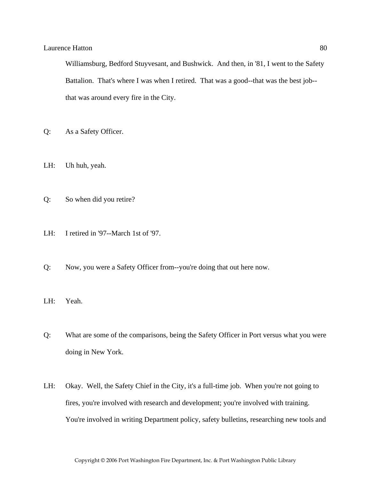Williamsburg, Bedford Stuyvesant, and Bushwick. And then, in '81, I went to the Safety Battalion. That's where I was when I retired. That was a good--that was the best job- that was around every fire in the City.

- Q: As a Safety Officer.
- LH: Uh huh, yeah.
- Q: So when did you retire?
- LH: I retired in '97--March 1st of '97.
- Q: Now, you were a Safety Officer from--you're doing that out here now.
- LH: Yeah.
- Q: What are some of the comparisons, being the Safety Officer in Port versus what you were doing in New York.
- LH: Okay. Well, the Safety Chief in the City, it's a full-time job. When you're not going to fires, you're involved with research and development; you're involved with training. You're involved in writing Department policy, safety bulletins, researching new tools and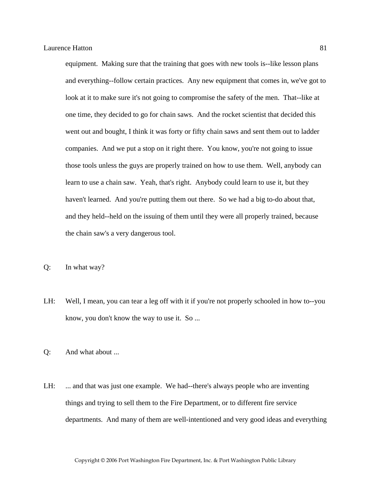equipment. Making sure that the training that goes with new tools is--like lesson plans and everything--follow certain practices. Any new equipment that comes in, we've got to look at it to make sure it's not going to compromise the safety of the men. That--like at one time, they decided to go for chain saws. And the rocket scientist that decided this went out and bought, I think it was forty or fifty chain saws and sent them out to ladder companies. And we put a stop on it right there. You know, you're not going to issue those tools unless the guys are properly trained on how to use them. Well, anybody can learn to use a chain saw. Yeah, that's right. Anybody could learn to use it, but they haven't learned. And you're putting them out there. So we had a big to-do about that, and they held--held on the issuing of them until they were all properly trained, because the chain saw's a very dangerous tool.

- Q: In what way?
- LH: Well, I mean, you can tear a leg off with it if you're not properly schooled in how to--you know, you don't know the way to use it. So ...

Q: And what about ...

LH: ... and that was just one example. We had--there's always people who are inventing things and trying to sell them to the Fire Department, or to different fire service departments. And many of them are well-intentioned and very good ideas and everything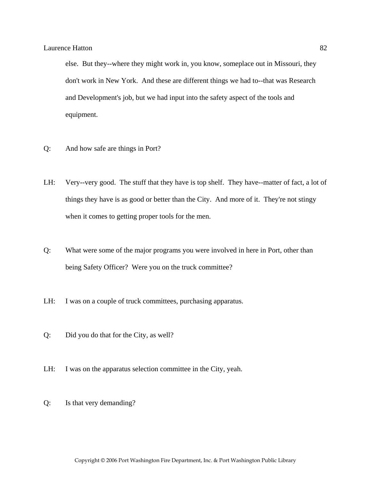else. But they--where they might work in, you know, someplace out in Missouri, they don't work in New York. And these are different things we had to--that was Research and Development's job, but we had input into the safety aspect of the tools and equipment.

- Q: And how safe are things in Port?
- LH: Very--very good. The stuff that they have is top shelf. They have--matter of fact, a lot of things they have is as good or better than the City. And more of it. They're not stingy when it comes to getting proper tools for the men.
- Q: What were some of the major programs you were involved in here in Port, other than being Safety Officer? Were you on the truck committee?
- LH: I was on a couple of truck committees, purchasing apparatus.
- Q: Did you do that for the City, as well?
- LH: I was on the apparatus selection committee in the City, yeah.
- Q: Is that very demanding?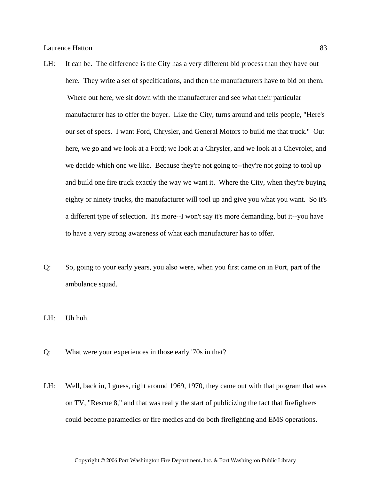- LH: It can be. The difference is the City has a very different bid process than they have out here. They write a set of specifications, and then the manufacturers have to bid on them. Where out here, we sit down with the manufacturer and see what their particular manufacturer has to offer the buyer. Like the City, turns around and tells people, "Here's our set of specs. I want Ford, Chrysler, and General Motors to build me that truck." Out here, we go and we look at a Ford; we look at a Chrysler, and we look at a Chevrolet, and we decide which one we like. Because they're not going to--they're not going to tool up and build one fire truck exactly the way we want it. Where the City, when they're buying eighty or ninety trucks, the manufacturer will tool up and give you what you want. So it's a different type of selection. It's more--I won't say it's more demanding, but it--you have to have a very strong awareness of what each manufacturer has to offer.
- Q: So, going to your early years, you also were, when you first came on in Port, part of the ambulance squad.
- LH: Uh huh.
- Q: What were your experiences in those early '70s in that?
- LH: Well, back in, I guess, right around 1969, 1970, they came out with that program that was on TV, "Rescue 8," and that was really the start of publicizing the fact that firefighters could become paramedics or fire medics and do both firefighting and EMS operations.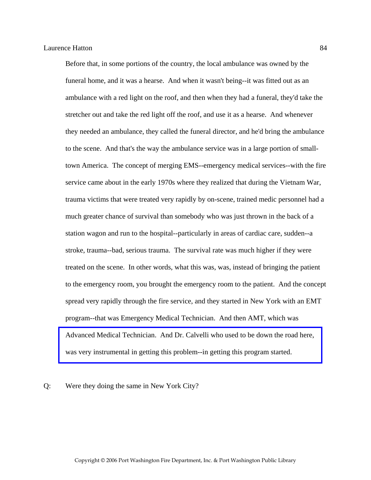Before that, in some portions of the country, the local ambulance was owned by the funeral home, and it was a hearse. And when it wasn't being--it was fitted out as an ambulance with a red light on the roof, and then when they had a funeral, they'd take the stretcher out and take the red light off the roof, and use it as a hearse. And whenever they needed an ambulance, they called the funeral director, and he'd bring the ambulance to the scene. And that's the way the ambulance service was in a large portion of smalltown America. The concept of merging EMS--emergency medical services--with the fire service came about in the early 1970s where they realized that during the Vietnam War, trauma victims that were treated very rapidly by on-scene, trained medic personnel had a much greater chance of survival than somebody who was just thrown in the back of a station wagon and run to the hospital--particularly in areas of cardiac care, sudden--a stroke, trauma--bad, serious trauma. The survival rate was much higher if they were treated on the scene. In other words, what this was, was, instead of bringing the patient to the emergency room, you brought the emergency room to the patient. And the concept spread very rapidly through the fire service, and they started in New York with an EMT program--that was Emergency Medical Technician. And then AMT, which was [Advanced Medical Technician. And Dr. Calvelli who used to be down the road here,](http://www.pwfdhistory.com/trans/hattonl_trans/news_cocks174b_web.jpg)  was very instrumental in getting this problem--in getting this program started.

### Q: Were they doing the same in New York City?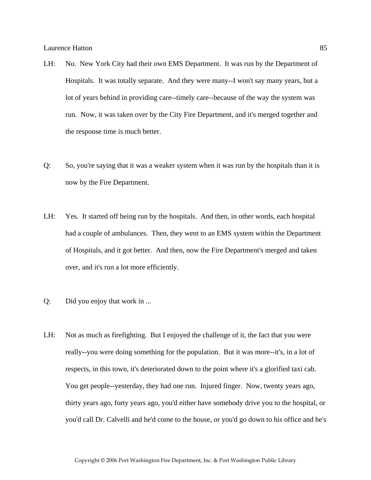- LH: No. New York City had their own EMS Department. It was run by the Department of Hospitals. It was totally separate. And they were many--I won't say many years, but a lot of years behind in providing care--timely care--because of the way the system was run. Now, it was taken over by the City Fire Department, and it's merged together and the response time is much better.
- Q: So, you're saying that it was a weaker system when it was run by the hospitals than it is now by the Fire Department.
- LH: Yes. It started off being run by the hospitals. And then, in other words, each hospital had a couple of ambulances. Then, they went to an EMS system within the Department of Hospitals, and it got better. And then, now the Fire Department's merged and taken over, and it's run a lot more efficiently.
- Q: Did you enjoy that work in ...
- LH: Not as much as firefighting. But I enjoyed the challenge of it, the fact that you were really--you were doing something for the population. But it was more--it's, in a lot of respects, in this town, it's deteriorated down to the point where it's a glorified taxi cab. You get people--yesterday, they had one run. Injured finger. Now, twenty years ago, thirty years ago, forty years ago, you'd either have somebody drive you to the hospital, or you'd call Dr. Calvelli and he'd come to the house, or you'd go down to his office and he's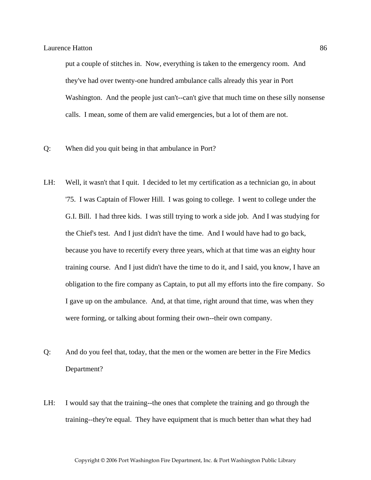put a couple of stitches in. Now, everything is taken to the emergency room. And they've had over twenty-one hundred ambulance calls already this year in Port Washington. And the people just can't--can't give that much time on these silly nonsense calls. I mean, some of them are valid emergencies, but a lot of them are not.

- Q: When did you quit being in that ambulance in Port?
- LH: Well, it wasn't that I quit. I decided to let my certification as a technician go, in about '75. I was Captain of Flower Hill. I was going to college. I went to college under the G.I. Bill. I had three kids. I was still trying to work a side job. And I was studying for the Chief's test. And I just didn't have the time. And I would have had to go back, because you have to recertify every three years, which at that time was an eighty hour training course. And I just didn't have the time to do it, and I said, you know, I have an obligation to the fire company as Captain, to put all my efforts into the fire company. So I gave up on the ambulance. And, at that time, right around that time, was when they were forming, or talking about forming their own--their own company.
- Q: And do you feel that, today, that the men or the women are better in the Fire Medics Department?
- LH: I would say that the training--the ones that complete the training and go through the training--they're equal. They have equipment that is much better than what they had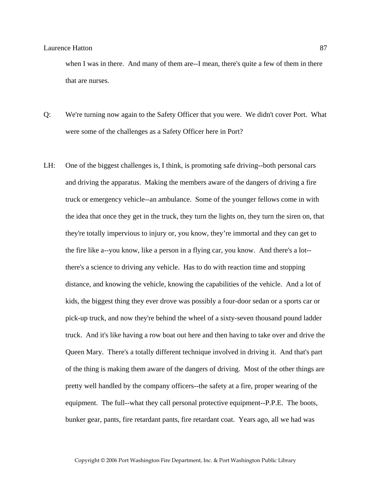when I was in there. And many of them are--I mean, there's quite a few of them in there that are nurses.

- Q: We're turning now again to the Safety Officer that you were. We didn't cover Port. What were some of the challenges as a Safety Officer here in Port?
- LH: One of the biggest challenges is, I think, is promoting safe driving--both personal cars and driving the apparatus. Making the members aware of the dangers of driving a fire truck or emergency vehicle--an ambulance. Some of the younger fellows come in with the idea that once they get in the truck, they turn the lights on, they turn the siren on, that they're totally impervious to injury or, you know, they're immortal and they can get to the fire like a--you know, like a person in a flying car, you know. And there's a lot- there's a science to driving any vehicle. Has to do with reaction time and stopping distance, and knowing the vehicle, knowing the capabilities of the vehicle. And a lot of kids, the biggest thing they ever drove was possibly a four-door sedan or a sports car or pick-up truck, and now they're behind the wheel of a sixty-seven thousand pound ladder truck. And it's like having a row boat out here and then having to take over and drive the Queen Mary. There's a totally different technique involved in driving it. And that's part of the thing is making them aware of the dangers of driving. Most of the other things are pretty well handled by the company officers--the safety at a fire, proper wearing of the equipment. The full--what they call personal protective equipment--P.P.E. The boots, bunker gear, pants, fire retardant pants, fire retardant coat. Years ago, all we had was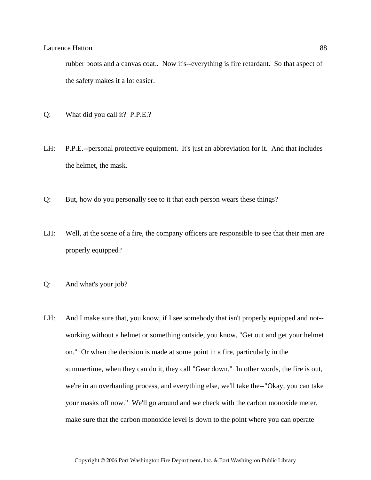rubber boots and a canvas coat.. Now it's--everything is fire retardant. So that aspect of the safety makes it a lot easier.

- Q: What did you call it? P.P.E.?
- LH: P.P.E.--personal protective equipment. It's just an abbreviation for it. And that includes the helmet, the mask.
- Q: But, how do you personally see to it that each person wears these things?
- LH: Well, at the scene of a fire, the company officers are responsible to see that their men are properly equipped?
- Q: And what's your job?
- LH: And I make sure that, you know, if I see somebody that isn't properly equipped and not-working without a helmet or something outside, you know, "Get out and get your helmet on." Or when the decision is made at some point in a fire, particularly in the summertime, when they can do it, they call "Gear down." In other words, the fire is out, we're in an overhauling process, and everything else, we'll take the--"Okay, you can take your masks off now." We'll go around and we check with the carbon monoxide meter, make sure that the carbon monoxide level is down to the point where you can operate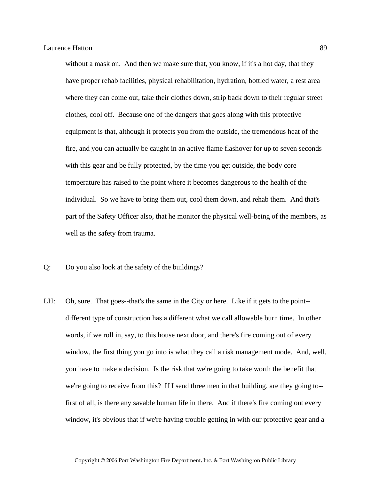without a mask on. And then we make sure that, you know, if it's a hot day, that they have proper rehab facilities, physical rehabilitation, hydration, bottled water, a rest area where they can come out, take their clothes down, strip back down to their regular street clothes, cool off. Because one of the dangers that goes along with this protective equipment is that, although it protects you from the outside, the tremendous heat of the fire, and you can actually be caught in an active flame flashover for up to seven seconds with this gear and be fully protected, by the time you get outside, the body core temperature has raised to the point where it becomes dangerous to the health of the individual. So we have to bring them out, cool them down, and rehab them. And that's part of the Safety Officer also, that he monitor the physical well-being of the members, as well as the safety from trauma.

- Q: Do you also look at the safety of the buildings?
- LH: Oh, sure. That goes--that's the same in the City or here. Like if it gets to the point- different type of construction has a different what we call allowable burn time. In other words, if we roll in, say, to this house next door, and there's fire coming out of every window, the first thing you go into is what they call a risk management mode. And, well, you have to make a decision. Is the risk that we're going to take worth the benefit that we're going to receive from this? If I send three men in that building, are they going to-first of all, is there any savable human life in there. And if there's fire coming out every window, it's obvious that if we're having trouble getting in with our protective gear and a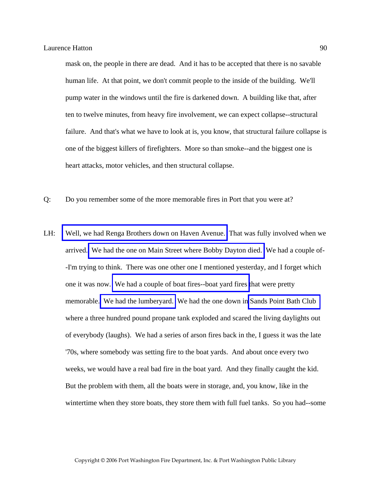mask on, the people in there are dead. And it has to be accepted that there is no savable human life. At that point, we don't commit people to the inside of the building. We'll pump water in the windows until the fire is darkened down. A building like that, after ten to twelve minutes, from heavy fire involvement, we can expect collapse--structural failure. And that's what we have to look at is, you know, that structural failure collapse is one of the biggest killers of firefighters. More so than smoke--and the biggest one is heart attacks, motor vehicles, and then structural collapse.

- Q: Do you remember some of the more memorable fires in Port that you were at?
- LH: [Well, we had Renga Brothers down on Haven Avenue.](http://www.pwfdhistory.com/trans/hattonl_trans/news_cocks045_web.jpg) That was fully involved when we arrived. [We had the one on Main Street where Bobby Dayton died.](http://www.pwfdhistory.com/trans/hattonl_trans/pnews881201_pz_web.pdf) We had a couple of- -I'm trying to think. There was one other one I mentioned yesterday, and I forget which one it was now. [We had a couple of boat fires--boat yard fires](http://www.pwfdhistory.com/trans/hattonl_trans/fhh_fires004a.jpg) that were pretty memorable. [We had the lumberyard.](http://www.pwfdhistory.com/trans/hattonl_trans/peco_fires034_web.jpg) We had the one down in [Sands Point Bath Club](http://www.pwfdhistory.com/trans/hattonl_trans/nday860319_pz_web.pdf)  where a three hundred pound propane tank exploded and scared the living daylights out of everybody (laughs). We had a series of arson fires back in the, I guess it was the late '70s, where somebody was setting fire to the boat yards. And about once every two weeks, we would have a real bad fire in the boat yard. And they finally caught the kid. But the problem with them, all the boats were in storage, and, you know, like in the wintertime when they store boats, they store them with full fuel tanks. So you had--some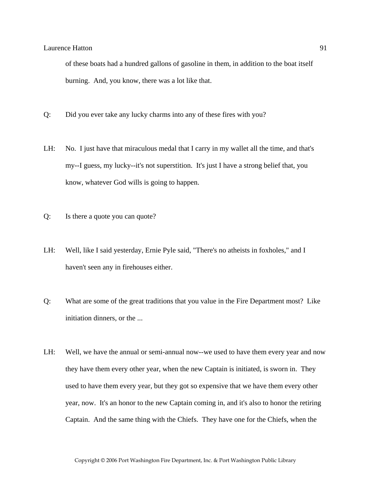of these boats had a hundred gallons of gasoline in them, in addition to the boat itself burning. And, you know, there was a lot like that.

- Q: Did you ever take any lucky charms into any of these fires with you?
- LH: No. I just have that miraculous medal that I carry in my wallet all the time, and that's my--I guess, my lucky--it's not superstition. It's just I have a strong belief that, you know, whatever God wills is going to happen.
- Q: Is there a quote you can quote?
- LH: Well, like I said yesterday, Ernie Pyle said, "There's no atheists in foxholes," and I haven't seen any in firehouses either.
- Q: What are some of the great traditions that you value in the Fire Department most? Like initiation dinners, or the ...
- LH: Well, we have the annual or semi-annual now--we used to have them every year and now they have them every other year, when the new Captain is initiated, is sworn in. They used to have them every year, but they got so expensive that we have them every other year, now. It's an honor to the new Captain coming in, and it's also to honor the retiring Captain. And the same thing with the Chiefs. They have one for the Chiefs, when the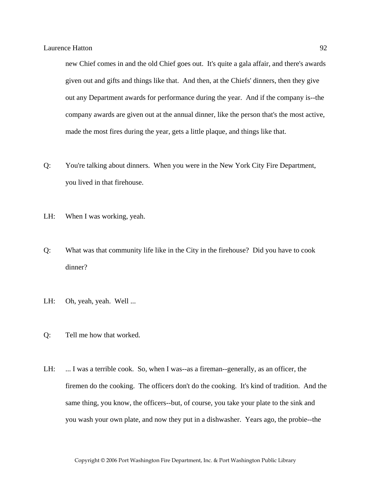new Chief comes in and the old Chief goes out. It's quite a gala affair, and there's awards given out and gifts and things like that. And then, at the Chiefs' dinners, then they give out any Department awards for performance during the year. And if the company is--the company awards are given out at the annual dinner, like the person that's the most active, made the most fires during the year, gets a little plaque, and things like that.

- Q: You're talking about dinners. When you were in the New York City Fire Department, you lived in that firehouse.
- LH: When I was working, yeah.
- Q: What was that community life like in the City in the firehouse? Did you have to cook dinner?
- LH: Oh, yeah, yeah. Well ...
- Q: Tell me how that worked.
- LH: ... I was a terrible cook. So, when I was--as a fireman-generally, as an officer, the firemen do the cooking. The officers don't do the cooking. It's kind of tradition. And the same thing, you know, the officers--but, of course, you take your plate to the sink and you wash your own plate, and now they put in a dishwasher. Years ago, the probie--the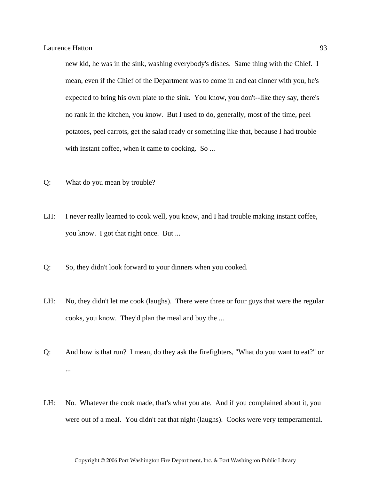new kid, he was in the sink, washing everybody's dishes. Same thing with the Chief. I mean, even if the Chief of the Department was to come in and eat dinner with you, he's expected to bring his own plate to the sink. You know, you don't--like they say, there's no rank in the kitchen, you know. But I used to do, generally, most of the time, peel potatoes, peel carrots, get the salad ready or something like that, because I had trouble with instant coffee, when it came to cooking. So ...

- Q: What do you mean by trouble?
- LH: I never really learned to cook well, you know, and I had trouble making instant coffee, you know. I got that right once. But ...
- Q: So, they didn't look forward to your dinners when you cooked.
- LH: No, they didn't let me cook (laughs). There were three or four guys that were the regular cooks, you know. They'd plan the meal and buy the ...
- Q: And how is that run? I mean, do they ask the firefighters, "What do you want to eat?" or ...
- LH: No. Whatever the cook made, that's what you ate. And if you complained about it, you were out of a meal. You didn't eat that night (laughs). Cooks were very temperamental.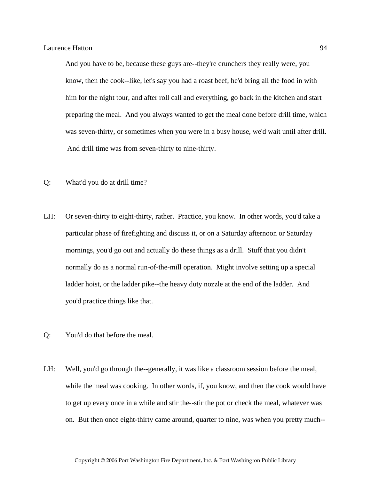And you have to be, because these guys are--they're crunchers they really were, you know, then the cook--like, let's say you had a roast beef, he'd bring all the food in with him for the night tour, and after roll call and everything, go back in the kitchen and start preparing the meal. And you always wanted to get the meal done before drill time, which was seven-thirty, or sometimes when you were in a busy house, we'd wait until after drill. And drill time was from seven-thirty to nine-thirty.

- Q: What'd you do at drill time?
- LH: Or seven-thirty to eight-thirty, rather. Practice, you know. In other words, you'd take a particular phase of firefighting and discuss it, or on a Saturday afternoon or Saturday mornings, you'd go out and actually do these things as a drill. Stuff that you didn't normally do as a normal run-of-the-mill operation. Might involve setting up a special ladder hoist, or the ladder pike--the heavy duty nozzle at the end of the ladder. And you'd practice things like that.
- Q: You'd do that before the meal.
- LH: Well, you'd go through the--generally, it was like a classroom session before the meal, while the meal was cooking. In other words, if, you know, and then the cook would have to get up every once in a while and stir the--stir the pot or check the meal, whatever was on. But then once eight-thirty came around, quarter to nine, was when you pretty much--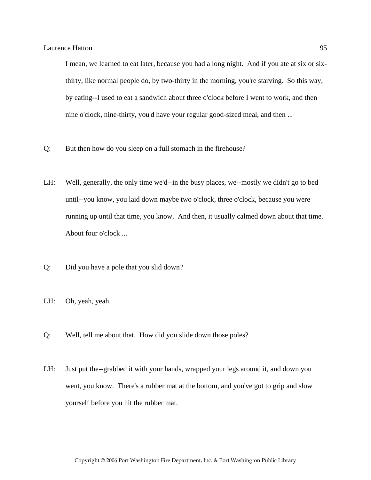I mean, we learned to eat later, because you had a long night. And if you ate at six or sixthirty, like normal people do, by two-thirty in the morning, you're starving. So this way, by eating--I used to eat a sandwich about three o'clock before I went to work, and then nine o'clock, nine-thirty, you'd have your regular good-sized meal, and then ...

- Q: But then how do you sleep on a full stomach in the firehouse?
- LH: Well, generally, the only time we'd--in the busy places, we--mostly we didn't go to bed until--you know, you laid down maybe two o'clock, three o'clock, because you were running up until that time, you know. And then, it usually calmed down about that time. About four o'clock ...
- Q: Did you have a pole that you slid down?
- LH: Oh, yeah, yeah.
- Q: Well, tell me about that. How did you slide down those poles?
- LH: Just put the--grabbed it with your hands, wrapped your legs around it, and down you went, you know. There's a rubber mat at the bottom, and you've got to grip and slow yourself before you hit the rubber mat.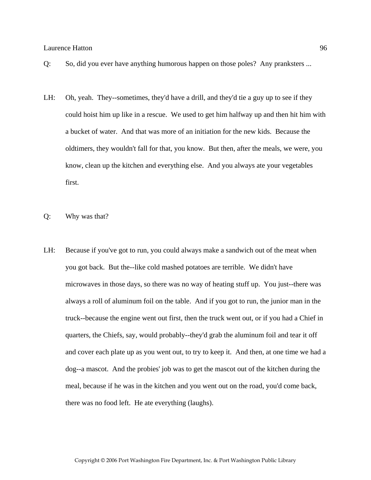- Q: So, did you ever have anything humorous happen on those poles? Any pranksters ...
- LH: Oh, yeah. They--sometimes, they'd have a drill, and they'd tie a guy up to see if they could hoist him up like in a rescue. We used to get him halfway up and then hit him with a bucket of water. And that was more of an initiation for the new kids. Because the oldtimers, they wouldn't fall for that, you know. But then, after the meals, we were, you know, clean up the kitchen and everything else. And you always ate your vegetables first.
- Q: Why was that?
- LH: Because if you've got to run, you could always make a sandwich out of the meat when you got back. But the--like cold mashed potatoes are terrible. We didn't have microwaves in those days, so there was no way of heating stuff up. You just--there was always a roll of aluminum foil on the table. And if you got to run, the junior man in the truck--because the engine went out first, then the truck went out, or if you had a Chief in quarters, the Chiefs, say, would probably--they'd grab the aluminum foil and tear it off and cover each plate up as you went out, to try to keep it. And then, at one time we had a dog--a mascot. And the probies' job was to get the mascot out of the kitchen during the meal, because if he was in the kitchen and you went out on the road, you'd come back, there was no food left. He ate everything (laughs).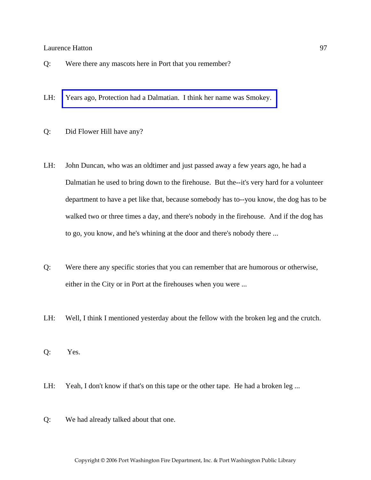- Q: Were there any mascots here in Port that you remember?
- LH: [Years ago, Protection had a Dalmatian. I think her name was Smokey.](http://www.pwfdhistory.com/trans/hattonl_trans/peco_smokey003.jpg)
- Q: Did Flower Hill have any?
- LH: John Duncan, who was an oldtimer and just passed away a few years ago, he had a Dalmatian he used to bring down to the firehouse. But the--it's very hard for a volunteer department to have a pet like that, because somebody has to--you know, the dog has to be walked two or three times a day, and there's nobody in the firehouse. And if the dog has to go, you know, and he's whining at the door and there's nobody there ...
- Q: Were there any specific stories that you can remember that are humorous or otherwise, either in the City or in Port at the firehouses when you were ...
- LH: Well, I think I mentioned yesterday about the fellow with the broken leg and the crutch.
- Q: Yes.
- LH: Yeah, I don't know if that's on this tape or the other tape. He had a broken leg ...
- Q: We had already talked about that one.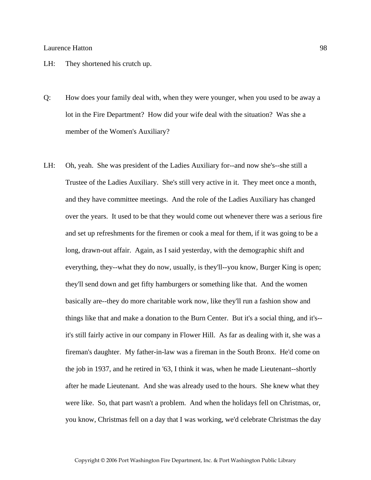- LH: They shortened his crutch up.
- Q: How does your family deal with, when they were younger, when you used to be away a lot in the Fire Department? How did your wife deal with the situation? Was she a member of the Women's Auxiliary?
- LH: Oh, yeah. She was president of the Ladies Auxiliary for--and now she's--she still a Trustee of the Ladies Auxiliary. She's still very active in it. They meet once a month, and they have committee meetings. And the role of the Ladies Auxiliary has changed over the years. It used to be that they would come out whenever there was a serious fire and set up refreshments for the firemen or cook a meal for them, if it was going to be a long, drawn-out affair. Again, as I said yesterday, with the demographic shift and everything, they--what they do now, usually, is they'll--you know, Burger King is open; they'll send down and get fifty hamburgers or something like that. And the women basically are--they do more charitable work now, like they'll run a fashion show and things like that and make a donation to the Burn Center. But it's a social thing, and it's- it's still fairly active in our company in Flower Hill. As far as dealing with it, she was a fireman's daughter. My father-in-law was a fireman in the South Bronx. He'd come on the job in 1937, and he retired in '63, I think it was, when he made Lieutenant--shortly after he made Lieutenant. And she was already used to the hours. She knew what they were like. So, that part wasn't a problem. And when the holidays fell on Christmas, or, you know, Christmas fell on a day that I was working, we'd celebrate Christmas the day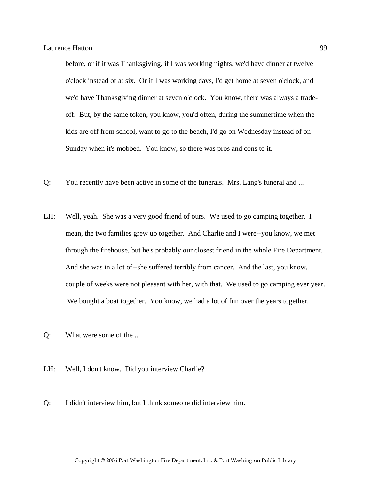before, or if it was Thanksgiving, if I was working nights, we'd have dinner at twelve o'clock instead of at six. Or if I was working days, I'd get home at seven o'clock, and we'd have Thanksgiving dinner at seven o'clock. You know, there was always a tradeoff. But, by the same token, you know, you'd often, during the summertime when the kids are off from school, want to go to the beach, I'd go on Wednesday instead of on Sunday when it's mobbed. You know, so there was pros and cons to it.

- Q: You recently have been active in some of the funerals. Mrs. Lang's funeral and ...
- LH: Well, yeah. She was a very good friend of ours. We used to go camping together. I mean, the two families grew up together. And Charlie and I were--you know, we met through the firehouse, but he's probably our closest friend in the whole Fire Department. And she was in a lot of--she suffered terribly from cancer. And the last, you know, couple of weeks were not pleasant with her, with that. We used to go camping ever year. We bought a boat together. You know, we had a lot of fun over the years together.
- Q: What were some of the ...
- LH: Well, I don't know. Did you interview Charlie?
- Q: I didn't interview him, but I think someone did interview him.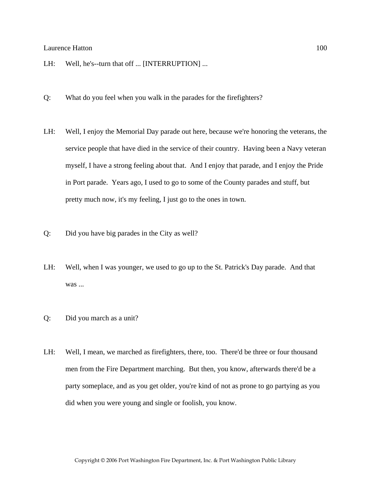- LH: Well, he's--turn that off ... [INTERRUPTION] ...
- Q: What do you feel when you walk in the parades for the firefighters?
- LH: Well, I enjoy the Memorial Day parade out here, because we're honoring the veterans, the service people that have died in the service of their country. Having been a Navy veteran myself, I have a strong feeling about that. And I enjoy that parade, and I enjoy the Pride in Port parade. Years ago, I used to go to some of the County parades and stuff, but pretty much now, it's my feeling, I just go to the ones in town.
- Q: Did you have big parades in the City as well?
- LH: Well, when I was younger, we used to go up to the St. Patrick's Day parade. And that was ...
- Q: Did you march as a unit?
- LH: Well, I mean, we marched as firefighters, there, too. There'd be three or four thousand men from the Fire Department marching. But then, you know, afterwards there'd be a party someplace, and as you get older, you're kind of not as prone to go partying as you did when you were young and single or foolish, you know.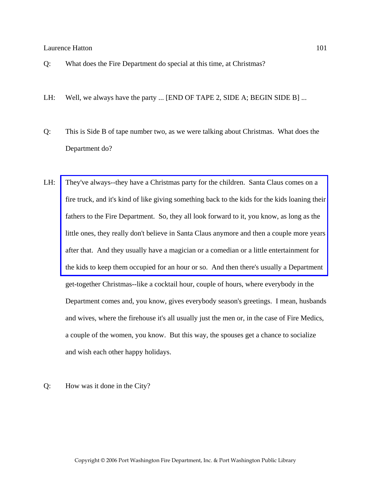- Q: What does the Fire Department do special at this time, at Christmas?
- LH: Well, we always have the party ... [END OF TAPE 2, SIDE A; BEGIN SIDE B] ...
- Q: This is Side B of tape number two, as we were talking about Christmas. What does the Department do?
- LH: They've always--they have a Christmas party for the children. Santa Claus comes on a [fire truck, and it's kind of like giving something back to the kids for the kids loaning their](http://www.pwfdhistory.com/trans/hattonl_trans/peco_members039.jpg)  fathers to the Fire Department. So, they all look forward to it, you know, as long as the little ones, they really don't believe in Santa Claus anymore and then a couple more years after that. And they usually have a magician or a comedian or a little entertainment for the kids to keep them occupied for an hour or so. And then there's usually a Department get-together Christmas--like a cocktail hour, couple of hours, where everybody in the Department comes and, you know, gives everybody season's greetings. I mean, husbands and wives, where the firehouse it's all usually just the men or, in the case of Fire Medics, a couple of the women, you know. But this way, the spouses get a chance to socialize and wish each other happy holidays.

### Q: How was it done in the City?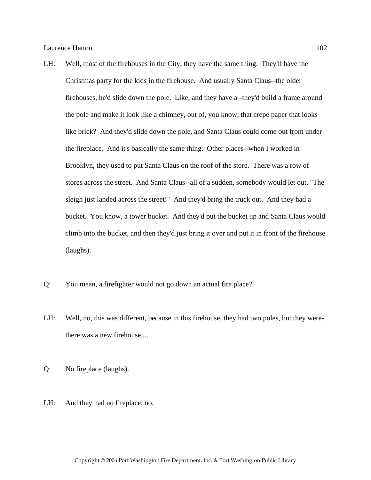- LH: Well, most of the firehouses in the City, they have the same thing. They'll have the Christmas party for the kids in the firehouse. And usually Santa Claus--the older firehouses, he'd slide down the pole. Like, and they have a--they'd build a frame around the pole and make it look like a chimney, out of, you know, that crepe paper that looks like brick? And they'd slide down the pole, and Santa Claus could come out from under the fireplace. And it's basically the same thing. Other places--when I worked in Brooklyn, they used to put Santa Claus on the roof of the store. There was a row of stores across the street. And Santa Claus--all of a sudden, somebody would let out, "The sleigh just landed across the street!" And they'd bring the truck out. And they had a bucket. You know, a tower bucket. And they'd put the bucket up and Santa Claus would climb into the bucket, and then they'd just bring it over and put it in front of the firehouse (laughs).
- Q: You mean, a firefighter would not go down an actual fire place?
- LH: Well, no, this was different, because in this firehouse, they had two poles, but they werethere was a new firehouse ...
- Q: No fireplace (laughs).
- LH: And they had no fireplace, no.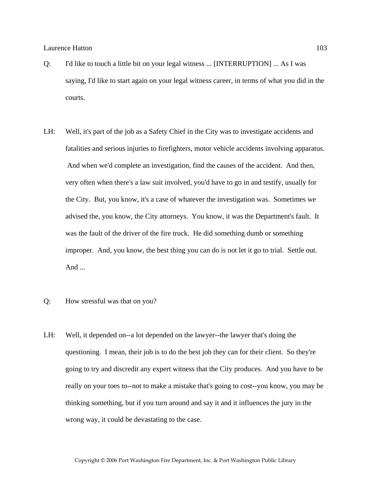- Q: I'd like to touch a little bit on your legal witness ... [INTERRUPTION] ... As I was saying, I'd like to start again on your legal witness career, in terms of what you did in the courts.
- LH: Well, it's part of the job as a Safety Chief in the City was to investigate accidents and fatalities and serious injuries to firefighters, motor vehicle accidents involving apparatus. And when we'd complete an investigation, find the causes of the accident. And then, very often when there's a law suit involved, you'd have to go in and testify, usually for the City. But, you know, it's a case of whatever the investigation was. Sometimes we advised the, you know, the City attorneys. You know, it was the Department's fault. It was the fault of the driver of the fire truck. He did something dumb or something improper. And, you know, the best thing you can do is not let it go to trial. Settle out. And ...
- Q: How stressful was that on you?
- LH: Well, it depended on--a lot depended on the lawyer--the lawyer that's doing the questioning. I mean, their job is to do the best job they can for their client. So they're going to try and discredit any expert witness that the City produces. And you have to be really on your toes to--not to make a mistake that's going to cost--you know, you may be thinking something, but if you turn around and say it and it influences the jury in the wrong way, it could be devastating to the case.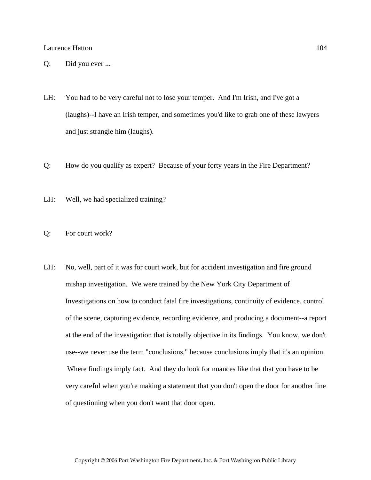- Q: Did you ever ...
- LH: You had to be very careful not to lose your temper. And I'm Irish, and I've got a (laughs)--I have an Irish temper, and sometimes you'd like to grab one of these lawyers and just strangle him (laughs).
- Q: How do you qualify as expert? Because of your forty years in the Fire Department?
- LH: Well, we had specialized training?
- Q: For court work?
- LH: No, well, part of it was for court work, but for accident investigation and fire ground mishap investigation. We were trained by the New York City Department of Investigations on how to conduct fatal fire investigations, continuity of evidence, control of the scene, capturing evidence, recording evidence, and producing a document--a report at the end of the investigation that is totally objective in its findings. You know, we don't use--we never use the term "conclusions," because conclusions imply that it's an opinion. Where findings imply fact. And they do look for nuances like that that you have to be very careful when you're making a statement that you don't open the door for another line of questioning when you don't want that door open.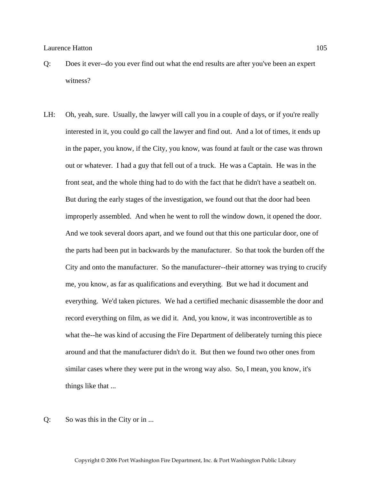- Q: Does it ever--do you ever find out what the end results are after you've been an expert witness?
- LH: Oh, yeah, sure. Usually, the lawyer will call you in a couple of days, or if you're really interested in it, you could go call the lawyer and find out. And a lot of times, it ends up in the paper, you know, if the City, you know, was found at fault or the case was thrown out or whatever. I had a guy that fell out of a truck. He was a Captain. He was in the front seat, and the whole thing had to do with the fact that he didn't have a seatbelt on. But during the early stages of the investigation, we found out that the door had been improperly assembled. And when he went to roll the window down, it opened the door. And we took several doors apart, and we found out that this one particular door, one of the parts had been put in backwards by the manufacturer. So that took the burden off the City and onto the manufacturer. So the manufacturer--their attorney was trying to crucify me, you know, as far as qualifications and everything. But we had it document and everything. We'd taken pictures. We had a certified mechanic disassemble the door and record everything on film, as we did it. And, you know, it was incontrovertible as to what the--he was kind of accusing the Fire Department of deliberately turning this piece around and that the manufacturer didn't do it. But then we found two other ones from similar cases where they were put in the wrong way also. So, I mean, you know, it's things like that ...
- Q: So was this in the City or in ...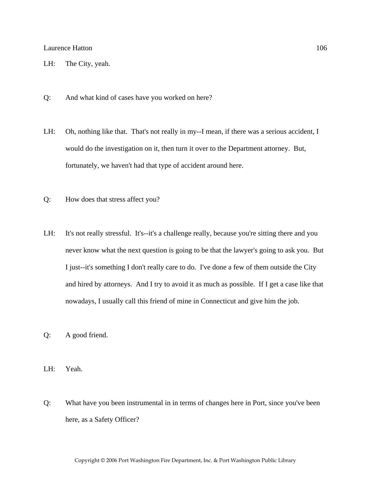- LH: The City, yeah.
- Q: And what kind of cases have you worked on here?
- LH: Oh, nothing like that. That's not really in my--I mean, if there was a serious accident, I would do the investigation on it, then turn it over to the Department attorney. But, fortunately, we haven't had that type of accident around here.
- Q: How does that stress affect you?
- LH: It's not really stressful. It's--it's a challenge really, because you're sitting there and you never know what the next question is going to be that the lawyer's going to ask you. But I just--it's something I don't really care to do. I've done a few of them outside the City and hired by attorneys. And I try to avoid it as much as possible. If I get a case like that nowadays, I usually call this friend of mine in Connecticut and give him the job.
- Q: A good friend.
- LH: Yeah.
- Q: What have you been instrumental in in terms of changes here in Port, since you've been here, as a Safety Officer?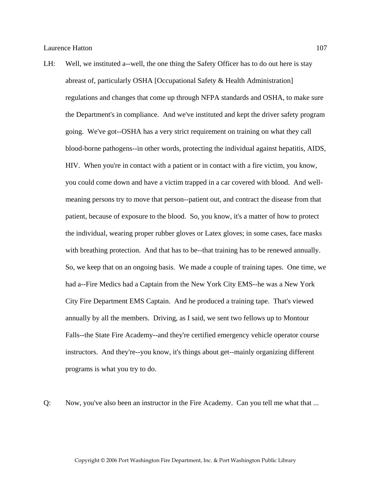LH: Well, we instituted a--well, the one thing the Safety Officer has to do out here is stay abreast of, particularly OSHA [Occupational Safety & Health Administration] regulations and changes that come up through NFPA standards and OSHA, to make sure the Department's in compliance. And we've instituted and kept the driver safety program going. We've got--OSHA has a very strict requirement on training on what they call blood-borne pathogens--in other words, protecting the individual against hepatitis, AIDS, HIV. When you're in contact with a patient or in contact with a fire victim, you know, you could come down and have a victim trapped in a car covered with blood. And wellmeaning persons try to move that person--patient out, and contract the disease from that patient, because of exposure to the blood. So, you know, it's a matter of how to protect the individual, wearing proper rubber gloves or Latex gloves; in some cases, face masks with breathing protection. And that has to be--that training has to be renewed annually. So, we keep that on an ongoing basis. We made a couple of training tapes. One time, we had a--Fire Medics had a Captain from the New York City EMS--he was a New York City Fire Department EMS Captain. And he produced a training tape. That's viewed annually by all the members. Driving, as I said, we sent two fellows up to Montour Falls--the State Fire Academy--and they're certified emergency vehicle operator course instructors. And they're--you know, it's things about get--mainly organizing different programs is what you try to do.

Q: Now, you've also been an instructor in the Fire Academy. Can you tell me what that ...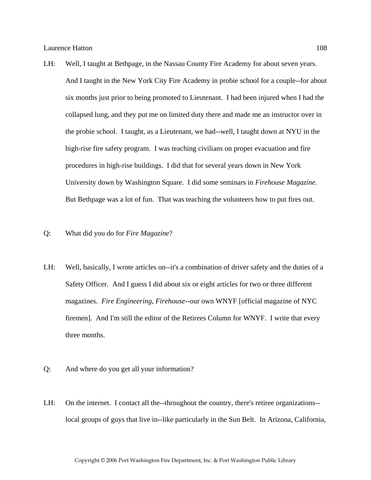- LH: Well, I taught at Bethpage, in the Nassau County Fire Academy for about seven years. And I taught in the New York City Fire Academy in probie school for a couple--for about six months just prior to being promoted to Lieutenant. I had been injured when I had the collapsed lung, and they put me on limited duty there and made me an instructor over in the probie school. I taught, as a Lieutenant, we had--well, I taught down at NYU in the high-rise fire safety program. I was teaching civilians on proper evacuation and fire procedures in high-rise buildings. I did that for several years down in New York University down by Washington Square. I did some seminars in *Firehouse Magazine*. But Bethpage was a lot of fun. That was teaching the volunteers how to put fires out.
- Q: What did you do for *Fire Magazine*?
- LH: Well, basically, I wrote articles on--it's a combination of driver safety and the duties of a Safety Officer. And I guess I did about six or eight articles for two or three different magazines. *Fire Engineering*, *Firehouse*--our own WNYF [official magazine of NYC firemen]. And I'm still the editor of the Retirees Column for WNYF. I write that every three months.
- Q: And where do you get all your information?
- LH: On the internet. I contact all the--throughout the country, there's retiree organizations- local groups of guys that live in--like particularly in the Sun Belt. In Arizona, California,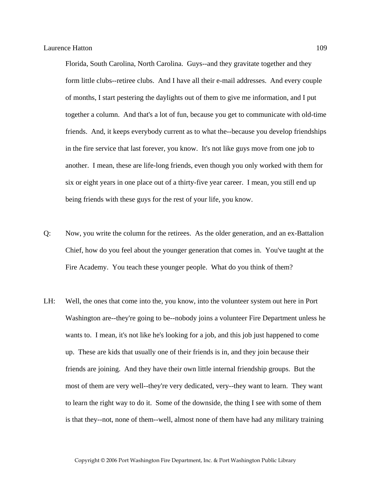Florida, South Carolina, North Carolina. Guys--and they gravitate together and they form little clubs--retiree clubs. And I have all their e-mail addresses. And every couple of months, I start pestering the daylights out of them to give me information, and I put together a column. And that's a lot of fun, because you get to communicate with old-time friends. And, it keeps everybody current as to what the--because you develop friendships in the fire service that last forever, you know. It's not like guys move from one job to another. I mean, these are life-long friends, even though you only worked with them for six or eight years in one place out of a thirty-five year career. I mean, you still end up being friends with these guys for the rest of your life, you know.

- Q: Now, you write the column for the retirees. As the older generation, and an ex-Battalion Chief, how do you feel about the younger generation that comes in. You've taught at the Fire Academy. You teach these younger people. What do you think of them?
- LH: Well, the ones that come into the, you know, into the volunteer system out here in Port Washington are--they're going to be--nobody joins a volunteer Fire Department unless he wants to. I mean, it's not like he's looking for a job, and this job just happened to come up. These are kids that usually one of their friends is in, and they join because their friends are joining. And they have their own little internal friendship groups. But the most of them are very well--they're very dedicated, very--they want to learn. They want to learn the right way to do it. Some of the downside, the thing I see with some of them is that they--not, none of them--well, almost none of them have had any military training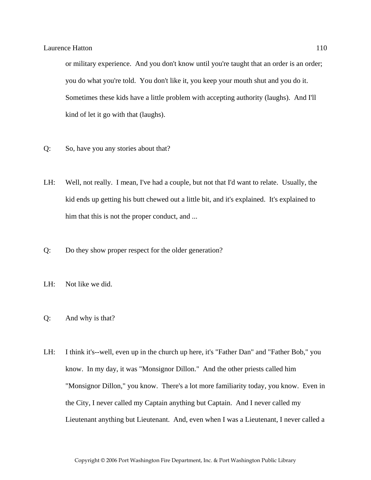or military experience. And you don't know until you're taught that an order is an order; you do what you're told. You don't like it, you keep your mouth shut and you do it. Sometimes these kids have a little problem with accepting authority (laughs). And I'll kind of let it go with that (laughs).

- Q: So, have you any stories about that?
- LH: Well, not really. I mean, I've had a couple, but not that I'd want to relate. Usually, the kid ends up getting his butt chewed out a little bit, and it's explained. It's explained to him that this is not the proper conduct, and ...
- Q: Do they show proper respect for the older generation?
- LH: Not like we did.
- Q: And why is that?
- LH: I think it's--well, even up in the church up here, it's "Father Dan" and "Father Bob," you know. In my day, it was "Monsignor Dillon." And the other priests called him "Monsignor Dillon," you know. There's a lot more familiarity today, you know. Even in the City, I never called my Captain anything but Captain. And I never called my Lieutenant anything but Lieutenant. And, even when I was a Lieutenant, I never called a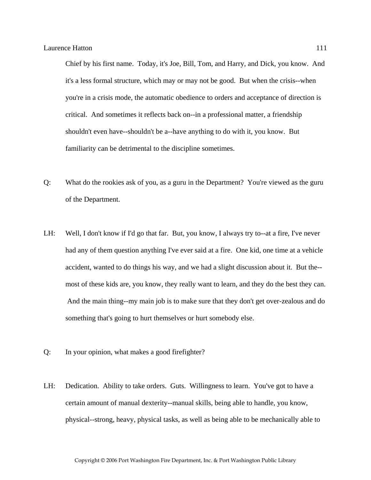Chief by his first name. Today, it's Joe, Bill, Tom, and Harry, and Dick, you know. And it's a less formal structure, which may or may not be good. But when the crisis--when you're in a crisis mode, the automatic obedience to orders and acceptance of direction is critical. And sometimes it reflects back on--in a professional matter, a friendship shouldn't even have--shouldn't be a--have anything to do with it, you know. But familiarity can be detrimental to the discipline sometimes.

- Q: What do the rookies ask of you, as a guru in the Department? You're viewed as the guru of the Department.
- LH: Well, I don't know if I'd go that far. But, you know, I always try to--at a fire, I've never had any of them question anything I've ever said at a fire. One kid, one time at a vehicle accident, wanted to do things his way, and we had a slight discussion about it. But the- most of these kids are, you know, they really want to learn, and they do the best they can. And the main thing--my main job is to make sure that they don't get over-zealous and do something that's going to hurt themselves or hurt somebody else.
- Q: In your opinion, what makes a good firefighter?
- LH: Dedication. Ability to take orders. Guts. Willingness to learn. You've got to have a certain amount of manual dexterity--manual skills, being able to handle, you know, physical--strong, heavy, physical tasks, as well as being able to be mechanically able to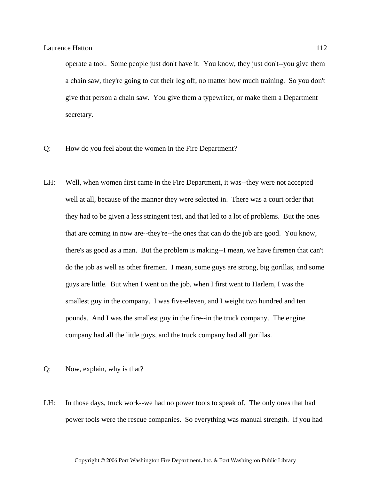operate a tool. Some people just don't have it. You know, they just don't--you give them a chain saw, they're going to cut their leg off, no matter how much training. So you don't give that person a chain saw. You give them a typewriter, or make them a Department secretary.

- Q: How do you feel about the women in the Fire Department?
- LH: Well, when women first came in the Fire Department, it was--they were not accepted well at all, because of the manner they were selected in. There was a court order that they had to be given a less stringent test, and that led to a lot of problems. But the ones that are coming in now are--they're--the ones that can do the job are good. You know, there's as good as a man. But the problem is making--I mean, we have firemen that can't do the job as well as other firemen. I mean, some guys are strong, big gorillas, and some guys are little. But when I went on the job, when I first went to Harlem, I was the smallest guy in the company. I was five-eleven, and I weight two hundred and ten pounds. And I was the smallest guy in the fire--in the truck company. The engine company had all the little guys, and the truck company had all gorillas.
- Q: Now, explain, why is that?
- LH: In those days, truck work--we had no power tools to speak of. The only ones that had power tools were the rescue companies. So everything was manual strength. If you had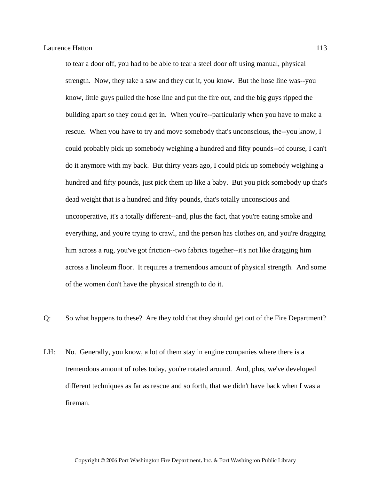to tear a door off, you had to be able to tear a steel door off using manual, physical strength. Now, they take a saw and they cut it, you know. But the hose line was--you know, little guys pulled the hose line and put the fire out, and the big guys ripped the building apart so they could get in. When you're--particularly when you have to make a rescue. When you have to try and move somebody that's unconscious, the--you know, I could probably pick up somebody weighing a hundred and fifty pounds--of course, I can't do it anymore with my back. But thirty years ago, I could pick up somebody weighing a hundred and fifty pounds, just pick them up like a baby. But you pick somebody up that's dead weight that is a hundred and fifty pounds, that's totally unconscious and uncooperative, it's a totally different--and, plus the fact, that you're eating smoke and everything, and you're trying to crawl, and the person has clothes on, and you're dragging him across a rug, you've got friction--two fabrics together--it's not like dragging him across a linoleum floor. It requires a tremendous amount of physical strength. And some of the women don't have the physical strength to do it.

- Q: So what happens to these? Are they told that they should get out of the Fire Department?
- LH: No. Generally, you know, a lot of them stay in engine companies where there is a tremendous amount of roles today, you're rotated around. And, plus, we've developed different techniques as far as rescue and so forth, that we didn't have back when I was a fireman.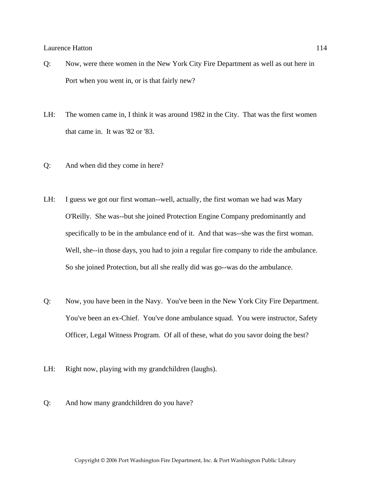- Q: Now, were there women in the New York City Fire Department as well as out here in Port when you went in, or is that fairly new?
- LH: The women came in, I think it was around 1982 in the City. That was the first women that came in. It was '82 or '83.
- Q: And when did they come in here?
- LH: I guess we got our first woman--well, actually, the first woman we had was Mary O'Reilly. She was--but she joined Protection Engine Company predominantly and specifically to be in the ambulance end of it. And that was--she was the first woman. Well, she--in those days, you had to join a regular fire company to ride the ambulance. So she joined Protection, but all she really did was go--was do the ambulance.
- Q: Now, you have been in the Navy. You've been in the New York City Fire Department. You've been an ex-Chief. You've done ambulance squad. You were instructor, Safety Officer, Legal Witness Program. Of all of these, what do you savor doing the best?
- LH: Right now, playing with my grandchildren (laughs).
- Q: And how many grandchildren do you have?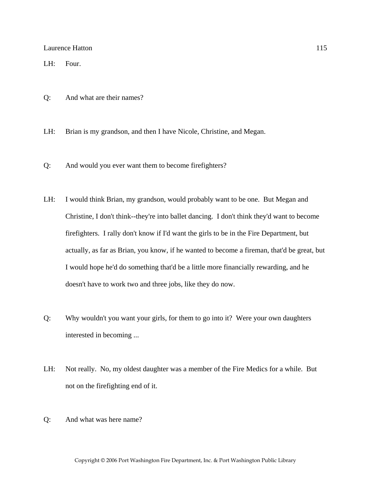LH: Four.

Q: And what are their names?

LH: Brian is my grandson, and then I have Nicole, Christine, and Megan.

- Q: And would you ever want them to become firefighters?
- LH: I would think Brian, my grandson, would probably want to be one. But Megan and Christine, I don't think--they're into ballet dancing. I don't think they'd want to become firefighters. I rally don't know if I'd want the girls to be in the Fire Department, but actually, as far as Brian, you know, if he wanted to become a fireman, that'd be great, but I would hope he'd do something that'd be a little more financially rewarding, and he doesn't have to work two and three jobs, like they do now.
- Q: Why wouldn't you want your girls, for them to go into it? Were your own daughters interested in becoming ...
- LH: Not really. No, my oldest daughter was a member of the Fire Medics for a while. But not on the firefighting end of it.
- Q: And what was here name?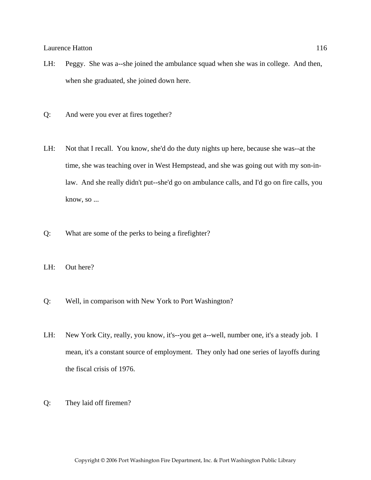- LH: Peggy. She was a--she joined the ambulance squad when she was in college. And then, when she graduated, she joined down here.
- Q: And were you ever at fires together?
- LH: Not that I recall. You know, she'd do the duty nights up here, because she was--at the time, she was teaching over in West Hempstead, and she was going out with my son-inlaw. And she really didn't put--she'd go on ambulance calls, and I'd go on fire calls, you know, so ...
- Q: What are some of the perks to being a firefighter?
- LH: Out here?
- Q: Well, in comparison with New York to Port Washington?
- LH: New York City, really, you know, it's--you get a--well, number one, it's a steady job. I mean, it's a constant source of employment. They only had one series of layoffs during the fiscal crisis of 1976.
- Q: They laid off firemen?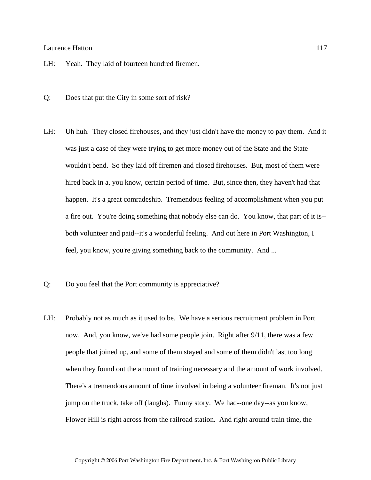- LH: Yeah. They laid of fourteen hundred firemen.
- Q: Does that put the City in some sort of risk?
- LH: Uh huh. They closed firehouses, and they just didn't have the money to pay them. And it was just a case of they were trying to get more money out of the State and the State wouldn't bend. So they laid off firemen and closed firehouses. But, most of them were hired back in a, you know, certain period of time. But, since then, they haven't had that happen. It's a great comradeship. Tremendous feeling of accomplishment when you put a fire out. You're doing something that nobody else can do. You know, that part of it is- both volunteer and paid--it's a wonderful feeling. And out here in Port Washington, I feel, you know, you're giving something back to the community. And ...
- Q: Do you feel that the Port community is appreciative?
- LH: Probably not as much as it used to be. We have a serious recruitment problem in Port now. And, you know, we've had some people join. Right after 9/11, there was a few people that joined up, and some of them stayed and some of them didn't last too long when they found out the amount of training necessary and the amount of work involved. There's a tremendous amount of time involved in being a volunteer fireman. It's not just jump on the truck, take off (laughs). Funny story. We had--one day--as you know, Flower Hill is right across from the railroad station. And right around train time, the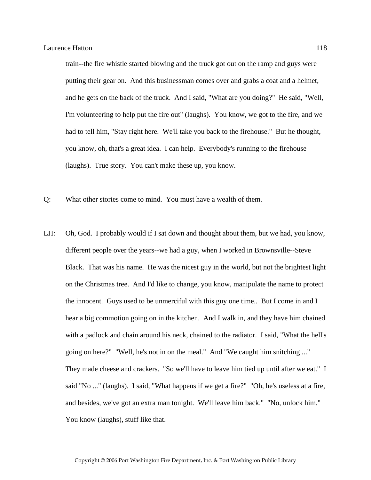train--the fire whistle started blowing and the truck got out on the ramp and guys were putting their gear on. And this businessman comes over and grabs a coat and a helmet, and he gets on the back of the truck. And I said, "What are you doing?" He said, "Well, I'm volunteering to help put the fire out" (laughs). You know, we got to the fire, and we had to tell him, "Stay right here. We'll take you back to the firehouse." But he thought, you know, oh, that's a great idea. I can help. Everybody's running to the firehouse (laughs). True story. You can't make these up, you know.

- Q: What other stories come to mind. You must have a wealth of them.
- LH: Oh, God. I probably would if I sat down and thought about them, but we had, you know, different people over the years--we had a guy, when I worked in Brownsville--Steve Black. That was his name. He was the nicest guy in the world, but not the brightest light on the Christmas tree. And I'd like to change, you know, manipulate the name to protect the innocent. Guys used to be unmerciful with this guy one time.. But I come in and I hear a big commotion going on in the kitchen. And I walk in, and they have him chained with a padlock and chain around his neck, chained to the radiator. I said, "What the hell's going on here?" "Well, he's not in on the meal." And "We caught him snitching ..." They made cheese and crackers. "So we'll have to leave him tied up until after we eat." I said "No ..." (laughs). I said, "What happens if we get a fire?" "Oh, he's useless at a fire, and besides, we've got an extra man tonight. We'll leave him back." "No, unlock him." You know (laughs), stuff like that.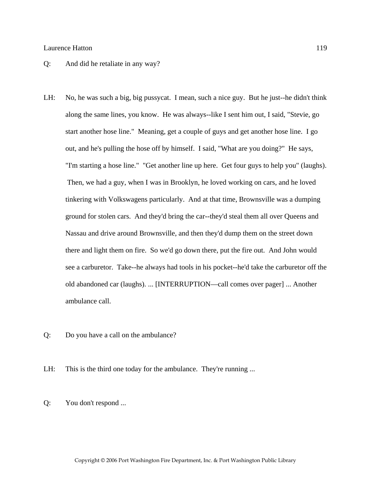## Q: And did he retaliate in any way?

- LH: No, he was such a big, big pussycat. I mean, such a nice guy. But he just--he didn't think along the same lines, you know. He was always--like I sent him out, I said, "Stevie, go start another hose line." Meaning, get a couple of guys and get another hose line. I go out, and he's pulling the hose off by himself. I said, "What are you doing?" He says, "I'm starting a hose line." "Get another line up here. Get four guys to help you" (laughs). Then, we had a guy, when I was in Brooklyn, he loved working on cars, and he loved tinkering with Volkswagens particularly. And at that time, Brownsville was a dumping ground for stolen cars. And they'd bring the car--they'd steal them all over Queens and Nassau and drive around Brownsville, and then they'd dump them on the street down there and light them on fire. So we'd go down there, put the fire out. And John would see a carburetor. Take--he always had tools in his pocket--he'd take the carburetor off the old abandoned car (laughs). ... [INTERRUPTION—call comes over pager] ... Another ambulance call.
- Q: Do you have a call on the ambulance?

LH: This is the third one today for the ambulance. They're running ...

Q: You don't respond ...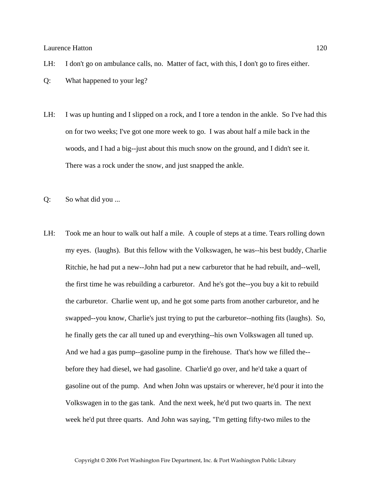LH: I don't go on ambulance calls, no. Matter of fact, with this, I don't go to fires either.

Q: What happened to your leg?

- LH: I was up hunting and I slipped on a rock, and I tore a tendon in the ankle. So I've had this on for two weeks; I've got one more week to go. I was about half a mile back in the woods, and I had a big--just about this much snow on the ground, and I didn't see it. There was a rock under the snow, and just snapped the ankle.
- Q: So what did you ...
- LH: Took me an hour to walk out half a mile. A couple of steps at a time. Tears rolling down my eyes. (laughs). But this fellow with the Volkswagen, he was--his best buddy, Charlie Ritchie, he had put a new--John had put a new carburetor that he had rebuilt, and--well, the first time he was rebuilding a carburetor. And he's got the--you buy a kit to rebuild the carburetor. Charlie went up, and he got some parts from another carburetor, and he swapped--you know, Charlie's just trying to put the carburetor--nothing fits (laughs). So, he finally gets the car all tuned up and everything--his own Volkswagen all tuned up. And we had a gas pump--gasoline pump in the firehouse. That's how we filled the- before they had diesel, we had gasoline. Charlie'd go over, and he'd take a quart of gasoline out of the pump. And when John was upstairs or wherever, he'd pour it into the Volkswagen in to the gas tank. And the next week, he'd put two quarts in. The next week he'd put three quarts. And John was saying, "I'm getting fifty-two miles to the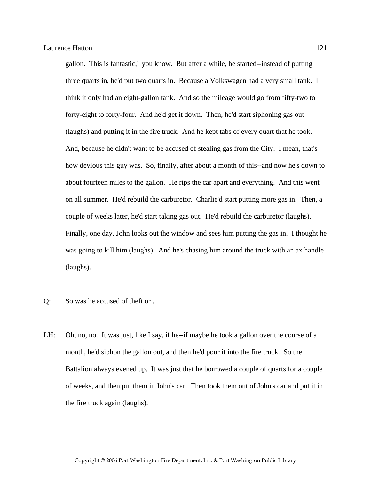gallon. This is fantastic," you know. But after a while, he started--instead of putting three quarts in, he'd put two quarts in. Because a Volkswagen had a very small tank. I think it only had an eight-gallon tank. And so the mileage would go from fifty-two to forty-eight to forty-four. And he'd get it down. Then, he'd start siphoning gas out (laughs) and putting it in the fire truck. And he kept tabs of every quart that he took. And, because he didn't want to be accused of stealing gas from the City. I mean, that's how devious this guy was. So, finally, after about a month of this--and now he's down to about fourteen miles to the gallon. He rips the car apart and everything. And this went on all summer. He'd rebuild the carburetor. Charlie'd start putting more gas in. Then, a couple of weeks later, he'd start taking gas out. He'd rebuild the carburetor (laughs). Finally, one day, John looks out the window and sees him putting the gas in. I thought he was going to kill him (laughs). And he's chasing him around the truck with an ax handle (laughs).

- Q: So was he accused of theft or ...
- LH: Oh, no, no. It was just, like I say, if he--if maybe he took a gallon over the course of a month, he'd siphon the gallon out, and then he'd pour it into the fire truck. So the Battalion always evened up. It was just that he borrowed a couple of quarts for a couple of weeks, and then put them in John's car. Then took them out of John's car and put it in the fire truck again (laughs).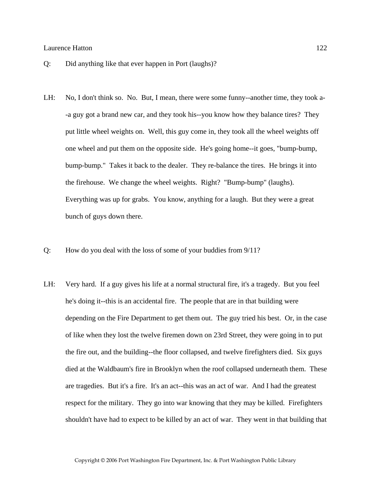- Q: Did anything like that ever happen in Port (laughs)?
- LH: No, I don't think so. No. But, I mean, there were some funny--another time, they took a- -a guy got a brand new car, and they took his--you know how they balance tires? They put little wheel weights on. Well, this guy come in, they took all the wheel weights off one wheel and put them on the opposite side. He's going home--it goes, "bump-bump, bump-bump." Takes it back to the dealer. They re-balance the tires. He brings it into the firehouse. We change the wheel weights. Right? "Bump-bump" (laughs). Everything was up for grabs. You know, anything for a laugh. But they were a great bunch of guys down there.
- Q: How do you deal with the loss of some of your buddies from 9/11?
- LH: Very hard. If a guy gives his life at a normal structural fire, it's a tragedy. But you feel he's doing it--this is an accidental fire. The people that are in that building were depending on the Fire Department to get them out. The guy tried his best. Or, in the case of like when they lost the twelve firemen down on 23rd Street, they were going in to put the fire out, and the building--the floor collapsed, and twelve firefighters died. Six guys died at the Waldbaum's fire in Brooklyn when the roof collapsed underneath them. These are tragedies. But it's a fire. It's an act--this was an act of war. And I had the greatest respect for the military. They go into war knowing that they may be killed. Firefighters shouldn't have had to expect to be killed by an act of war. They went in that building that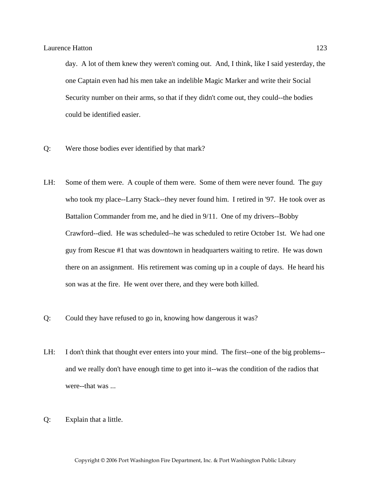day. A lot of them knew they weren't coming out. And, I think, like I said yesterday, the one Captain even had his men take an indelible Magic Marker and write their Social Security number on their arms, so that if they didn't come out, they could--the bodies could be identified easier.

- Q: Were those bodies ever identified by that mark?
- LH: Some of them were. A couple of them were. Some of them were never found. The guy who took my place--Larry Stack--they never found him. I retired in '97. He took over as Battalion Commander from me, and he died in 9/11. One of my drivers--Bobby Crawford--died. He was scheduled--he was scheduled to retire October 1st. We had one guy from Rescue #1 that was downtown in headquarters waiting to retire. He was down there on an assignment. His retirement was coming up in a couple of days. He heard his son was at the fire. He went over there, and they were both killed.
- Q: Could they have refused to go in, knowing how dangerous it was?
- LH: I don't think that thought ever enters into your mind. The first--one of the big problems- and we really don't have enough time to get into it--was the condition of the radios that were--that was ...
- Q: Explain that a little.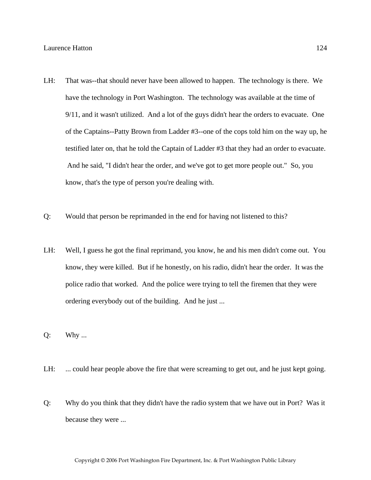- LH: That was--that should never have been allowed to happen. The technology is there. We have the technology in Port Washington. The technology was available at the time of 9/11, and it wasn't utilized. And a lot of the guys didn't hear the orders to evacuate. One of the Captains--Patty Brown from Ladder #3--one of the cops told him on the way up, he testified later on, that he told the Captain of Ladder #3 that they had an order to evacuate. And he said, "I didn't hear the order, and we've got to get more people out." So, you know, that's the type of person you're dealing with.
- Q: Would that person be reprimanded in the end for having not listened to this?
- LH: Well, I guess he got the final reprimand, you know, he and his men didn't come out. You know, they were killed. But if he honestly, on his radio, didn't hear the order. It was the police radio that worked. And the police were trying to tell the firemen that they were ordering everybody out of the building. And he just ...
- Q: Why ...
- LH: ... could hear people above the fire that were screaming to get out, and he just kept going.
- Q: Why do you think that they didn't have the radio system that we have out in Port? Was it because they were ...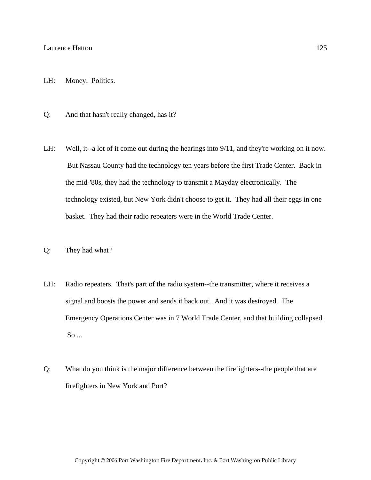- LH: Money. Politics.
- Q: And that hasn't really changed, has it?
- LH: Well, it--a lot of it come out during the hearings into  $9/11$ , and they're working on it now. But Nassau County had the technology ten years before the first Trade Center. Back in the mid-'80s, they had the technology to transmit a Mayday electronically. The technology existed, but New York didn't choose to get it. They had all their eggs in one basket. They had their radio repeaters were in the World Trade Center.
- Q: They had what?
- LH: Radio repeaters. That's part of the radio system--the transmitter, where it receives a signal and boosts the power and sends it back out. And it was destroyed. The Emergency Operations Center was in 7 World Trade Center, and that building collapsed. So ...
- Q: What do you think is the major difference between the firefighters--the people that are firefighters in New York and Port?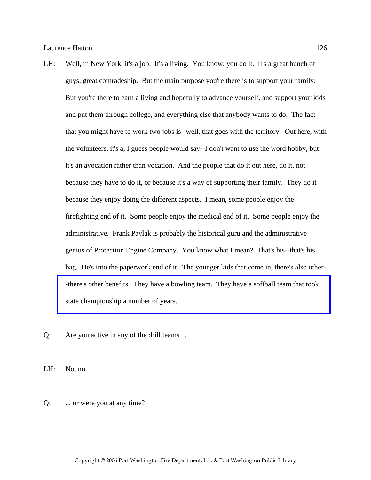- LH: Well, in New York, it's a job. It's a living. You know, you do it. It's a great bunch of guys, great comradeship. But the main purpose you're there is to support your family. But you're there to earn a living and hopefully to advance yourself, and support your kids and put them through college, and everything else that anybody wants to do. The fact that you might have to work two jobs is--well, that goes with the territory. Out here, with the volunteers, it's a, I guess people would say--I don't want to use the word hobby, but it's an avocation rather than vocation. And the people that do it out here, do it, not because they have to do it, or because it's a way of supporting their family. They do it because they enjoy doing the different aspects. I mean, some people enjoy the firefighting end of it. Some people enjoy the medical end of it. Some people enjoy the administrative. Frank Pavlak is probably the historical guru and the administrative genius of Protection Engine Company. You know what I mean? That's his--that's his bag. He's into the paperwork end of it. The younger kids that come in, there's also other- [-there's other benefits. They have a bowling team. They have a softball team that took](http://www.pwfdhistory.com/trans/hattonl_trans/pwfd_softball002_web.jpg)  state championship a number of years.
- Q: Are you active in any of the drill teams ...

LH: No, no.

Q: ... or were you at any time?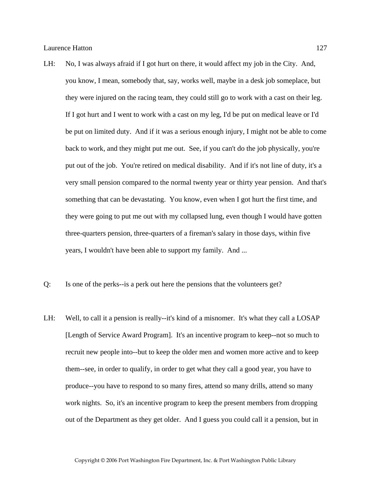- LH: No, I was always afraid if I got hurt on there, it would affect my job in the City. And, you know, I mean, somebody that, say, works well, maybe in a desk job someplace, but they were injured on the racing team, they could still go to work with a cast on their leg. If I got hurt and I went to work with a cast on my leg, I'd be put on medical leave or I'd be put on limited duty. And if it was a serious enough injury, I might not be able to come back to work, and they might put me out. See, if you can't do the job physically, you're put out of the job. You're retired on medical disability. And if it's not line of duty, it's a very small pension compared to the normal twenty year or thirty year pension. And that's something that can be devastating. You know, even when I got hurt the first time, and they were going to put me out with my collapsed lung, even though I would have gotten three-quarters pension, three-quarters of a fireman's salary in those days, within five years, I wouldn't have been able to support my family. And ...
- Q: Is one of the perks--is a perk out here the pensions that the volunteers get?
- LH: Well, to call it a pension is really--it's kind of a misnomer. It's what they call a LOSAP [Length of Service Award Program]. It's an incentive program to keep--not so much to recruit new people into--but to keep the older men and women more active and to keep them--see, in order to qualify, in order to get what they call a good year, you have to produce--you have to respond to so many fires, attend so many drills, attend so many work nights. So, it's an incentive program to keep the present members from dropping out of the Department as they get older. And I guess you could call it a pension, but in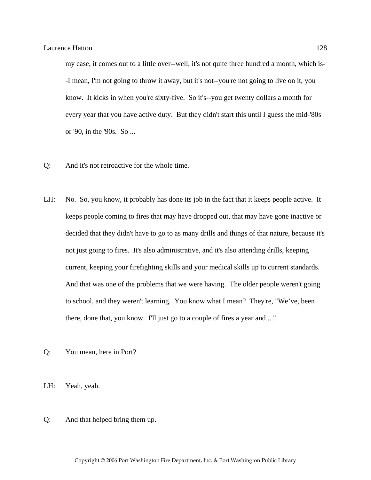my case, it comes out to a little over--well, it's not quite three hundred a month, which is- -I mean, I'm not going to throw it away, but it's not--you're not going to live on it, you know. It kicks in when you're sixty-five. So it's--you get twenty dollars a month for every year that you have active duty. But they didn't start this until I guess the mid-'80s or '90, in the '90s. So ...

- Q: And it's not retroactive for the whole time.
- LH: No. So, you know, it probably has done its job in the fact that it keeps people active. It keeps people coming to fires that may have dropped out, that may have gone inactive or decided that they didn't have to go to as many drills and things of that nature, because it's not just going to fires. It's also administrative, and it's also attending drills, keeping current, keeping your firefighting skills and your medical skills up to current standards. And that was one of the problems that we were having. The older people weren't going to school, and they weren't learning. You know what I mean? They're, "We've, been there, done that, you know. I'll just go to a couple of fires a year and ..."
- Q: You mean, here in Port?
- LH: Yeah, yeah.
- Q: And that helped bring them up.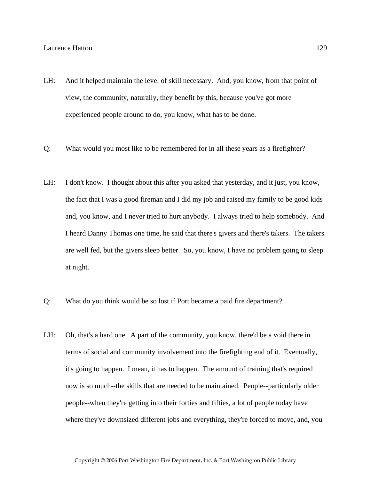- LH: And it helped maintain the level of skill necessary. And, you know, from that point of view, the community, naturally, they benefit by this, because you've got more experienced people around to do, you know, what has to be done.
- Q: What would you most like to be remembered for in all these years as a firefighter?
- LH: I don't know. I thought about this after you asked that yesterday, and it just, you know, the fact that I was a good fireman and I did my job and raised my family to be good kids and, you know, and I never tried to hurt anybody. I always tried to help somebody. And I heard Danny Thomas one time, he said that there's givers and there's takers. The takers are well fed, but the givers sleep better. So, you know, I have no problem going to sleep at night.
- Q: What do you think would be so lost if Port became a paid fire department?
- LH: Oh, that's a hard one. A part of the community, you know, there'd be a void there in terms of social and community involvement into the firefighting end of it. Eventually, it's going to happen. I mean, it has to happen. The amount of training that's required now is so much--the skills that are needed to be maintained. People--particularly older people--when they're getting into their forties and fifties, a lot of people today have where they've downsized different jobs and everything, they're forced to move, and, you